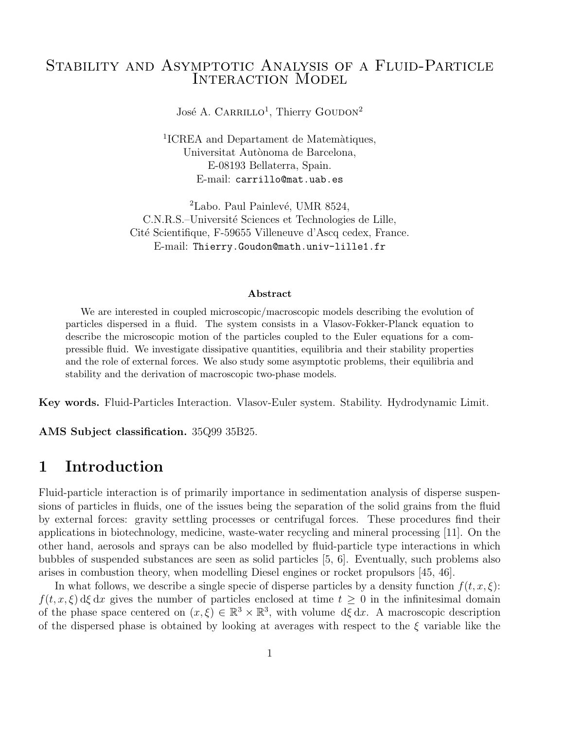## STABILITY AND ASYMPTOTIC ANALYSIS OF A FLUID-PARTICLE INTERACTION MODEL

José A. CARRILLO<sup>1</sup>, Thierry GOUDON<sup>2</sup>

<sup>1</sup>ICREA and Departament de Matemàtiques, Universitat Autònoma de Barcelona, E-08193 Bellaterra, Spain. E-mail: carrillo@mat.uab.es

 ${}^{2}$ Labo. Paul Painlevé, UMR 8524, C.N.R.S.–Université Sciences et Technologies de Lille, Cité Scientifique, F-59655 Villeneuve d'Ascq cedex, France. E-mail: Thierry.Goudon@math.univ-lille1.fr

#### Abstract

We are interested in coupled microscopic/macroscopic models describing the evolution of particles dispersed in a fluid. The system consists in a Vlasov-Fokker-Planck equation to describe the microscopic motion of the particles coupled to the Euler equations for a compressible fluid. We investigate dissipative quantities, equilibria and their stability properties and the role of external forces. We also study some asymptotic problems, their equilibria and stability and the derivation of macroscopic two-phase models.

Key words. Fluid-Particles Interaction. Vlasov-Euler system. Stability. Hydrodynamic Limit.

AMS Subject classification. 35Q99 35B25.

# 1 Introduction

Fluid-particle interaction is of primarily importance in sedimentation analysis of disperse suspensions of particles in fluids, one of the issues being the separation of the solid grains from the fluid by external forces: gravity settling processes or centrifugal forces. These procedures find their applications in biotechnology, medicine, waste-water recycling and mineral processing [11]. On the other hand, aerosols and sprays can be also modelled by fluid-particle type interactions in which bubbles of suspended substances are seen as solid particles [5, 6]. Eventually, such problems also arises in combustion theory, when modelling Diesel engines or rocket propulsors [45, 46].

In what follows, we describe a single specie of disperse particles by a density function  $f(t, x, \xi)$ :  $f(t, x, \xi)$  dξ dx gives the number of particles enclosed at time  $t \geq 0$  in the infinitesimal domain of the phase space centered on  $(x,\xi) \in \mathbb{R}^3 \times \mathbb{R}^3$ , with volume  $d\xi dx$ . A macroscopic description of the dispersed phase is obtained by looking at averages with respect to the  $\xi$  variable like the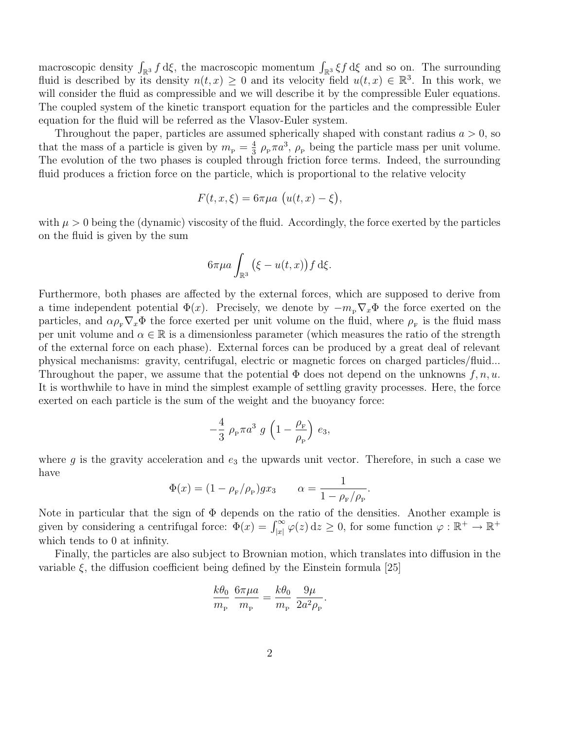macroscopic density  $\int_{\mathbb{R}^3} f d\xi$ , the macroscopic momentum  $\int_{\mathbb{R}^3} \xi f d\xi$  and so on. The surrounding fluid is described by its density  $n(t, x) \geq 0$  and its velocity field  $u(t, x) \in \mathbb{R}^3$ . In this work, we will consider the fluid as compressible and we will describe it by the compressible Euler equations. The coupled system of the kinetic transport equation for the particles and the compressible Euler equation for the fluid will be referred as the Vlasov-Euler system.

Throughout the paper, particles are assumed spherically shaped with constant radius  $a > 0$ , so that the mass of a particle is given by  $m_{\rm p} = \frac{4}{3}$  $\frac{4}{3}$   $\rho_{\rm P} \pi a^3$ ,  $\rho_{\rm P}$  being the particle mass per unit volume. The evolution of the two phases is coupled through friction force terms. Indeed, the surrounding fluid produces a friction force on the particle, which is proportional to the relative velocity

$$
F(t, x, \xi) = 6\pi\mu a \left( u(t, x) - \xi \right),
$$

with  $\mu > 0$  being the (dynamic) viscosity of the fluid. Accordingly, the force exerted by the particles on the fluid is given by the sum

$$
6\pi\mu a \int_{\mathbb{R}^3} (\xi - u(t,x)) f \,d\xi.
$$

Furthermore, both phases are affected by the external forces, which are supposed to derive from a time independent potential  $\Phi(x)$ . Precisely, we denote by  $-m_{\rm P}\nabla_x\Phi$  the force exerted on the particles, and  $\alpha \rho_{\rm F} \nabla_x \Phi$  the force exerted per unit volume on the fluid, where  $\rho_{\rm F}$  is the fluid mass per unit volume and  $\alpha \in \mathbb{R}$  is a dimensionless parameter (which measures the ratio of the strength of the external force on each phase). External forces can be produced by a great deal of relevant physical mechanisms: gravity, centrifugal, electric or magnetic forces on charged particles/fluid... Throughout the paper, we assume that the potential  $\Phi$  does not depend on the unknowns  $f, n, u$ . It is worthwhile to have in mind the simplest example of settling gravity processes. Here, the force exerted on each particle is the sum of the weight and the buoyancy force:

$$
-\frac{4}{3} \rho_{\rm P} \pi a^3 \ g \left(1 - \frac{\rho_{\rm F}}{\rho_{\rm P}}\right) e_3,
$$

where g is the gravity acceleration and  $e_3$  the upwards unit vector. Therefore, in such a case we have

$$
\Phi(x) = (1 - \rho_{\rm F}/\rho_{\rm P})gx_3
$$
  $\alpha = \frac{1}{1 - \rho_{\rm F}/\rho_{\rm P}}.$ 

Note in particular that the sign of Φ depends on the ratio of the densities. Another example is given by considering a centrifugal force:  $\Phi(x) = \int_{|x|}^{\infty}$  $\sum_{|x|}^{\infty} \varphi(z) dz \geq 0$ , for some function  $\varphi : \mathbb{R}^+ \to \mathbb{R}^+$ which tends to 0 at infinity.

Finally, the particles are also subject to Brownian motion, which translates into diffusion in the variable  $\xi$ , the diffusion coefficient being defined by the Einstein formula [25]

$$
\frac{k\theta_0}{m_{\rm P}}\,\frac{6\pi\mu a}{m_{\rm P}} = \frac{k\theta_0}{m_{\rm P}}\,\frac{9\mu}{2a^2\rho_{\rm P}}.
$$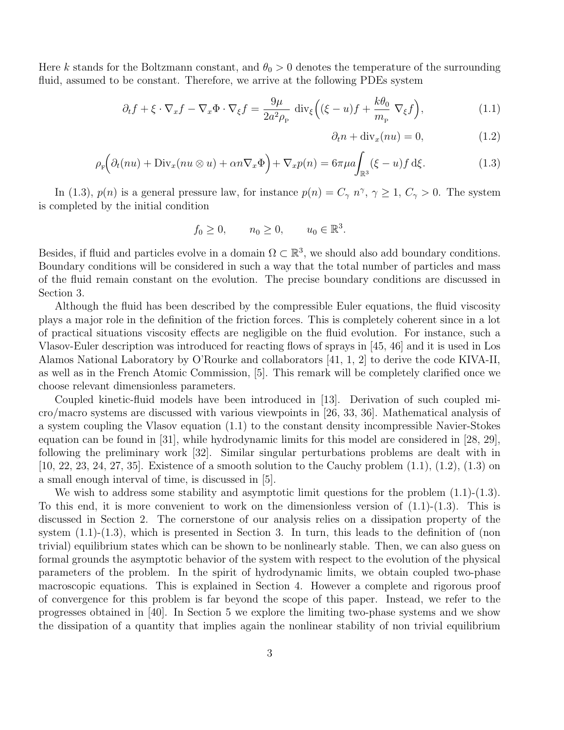Here k stands for the Boltzmann constant, and  $\theta_0 > 0$  denotes the temperature of the surrounding fluid, assumed to be constant. Therefore, we arrive at the following PDEs system

$$
\partial_t f + \xi \cdot \nabla_x f - \nabla_x \Phi \cdot \nabla_{\xi} f = \frac{9\mu}{2a^2 \rho_{\rm P}} \operatorname{div}_{\xi} \left( (\xi - u) f + \frac{k \theta_0}{m_{\rm P}} \nabla_{\xi} f \right),\tag{1.1}
$$

$$
\partial_t n + \text{div}_x(nu) = 0,\tag{1.2}
$$

$$
\rho_{\mathbf{F}}\Big(\partial_t(nu) + \text{Div}_x(nu \otimes u) + \alpha n \nabla_x \Phi\Big) + \nabla_x p(n) = 6\pi \mu a \int_{\mathbb{R}^3} (\xi - u) f \,d\xi. \tag{1.3}
$$

In (1.3),  $p(n)$  is a general pressure law, for instance  $p(n) = C_{\gamma} n^{\gamma}, \gamma \ge 1, C_{\gamma} > 0$ . The system is completed by the initial condition

$$
f_0 \ge 0, \qquad n_0 \ge 0, \qquad u_0 \in \mathbb{R}^3.
$$

Besides, if fluid and particles evolve in a domain  $\Omega \subset \mathbb{R}^3$ , we should also add boundary conditions. Boundary conditions will be considered in such a way that the total number of particles and mass of the fluid remain constant on the evolution. The precise boundary conditions are discussed in Section 3.

Although the fluid has been described by the compressible Euler equations, the fluid viscosity plays a major role in the definition of the friction forces. This is completely coherent since in a lot of practical situations viscosity effects are negligible on the fluid evolution. For instance, such a Vlasov-Euler description was introduced for reacting flows of sprays in [45, 46] and it is used in Los Alamos National Laboratory by O'Rourke and collaborators [41, 1, 2] to derive the code KIVA-II, as well as in the French Atomic Commission, [5]. This remark will be completely clarified once we choose relevant dimensionless parameters.

Coupled kinetic-fluid models have been introduced in [13]. Derivation of such coupled micro/macro systems are discussed with various viewpoints in [26, 33, 36]. Mathematical analysis of a system coupling the Vlasov equation (1.1) to the constant density incompressible Navier-Stokes equation can be found in [31], while hydrodynamic limits for this model are considered in [28, 29], following the preliminary work [32]. Similar singular perturbations problems are dealt with in [10, 22, 23, 24, 27, 35]. Existence of a smooth solution to the Cauchy problem (1.1), (1.2), (1.3) on a small enough interval of time, is discussed in [5].

We wish to address some stability and asymptotic limit questions for the problem  $(1.1)-(1.3)$ . To this end, it is more convenient to work on the dimensionless version of  $(1.1)-(1.3)$ . This is discussed in Section 2. The cornerstone of our analysis relies on a dissipation property of the system  $(1.1)-(1.3)$ , which is presented in Section 3. In turn, this leads to the definition of (non trivial) equilibrium states which can be shown to be nonlinearly stable. Then, we can also guess on formal grounds the asymptotic behavior of the system with respect to the evolution of the physical parameters of the problem. In the spirit of hydrodynamic limits, we obtain coupled two-phase macroscopic equations. This is explained in Section 4. However a complete and rigorous proof of convergence for this problem is far beyond the scope of this paper. Instead, we refer to the progresses obtained in [40]. In Section 5 we explore the limiting two-phase systems and we show the dissipation of a quantity that implies again the nonlinear stability of non trivial equilibrium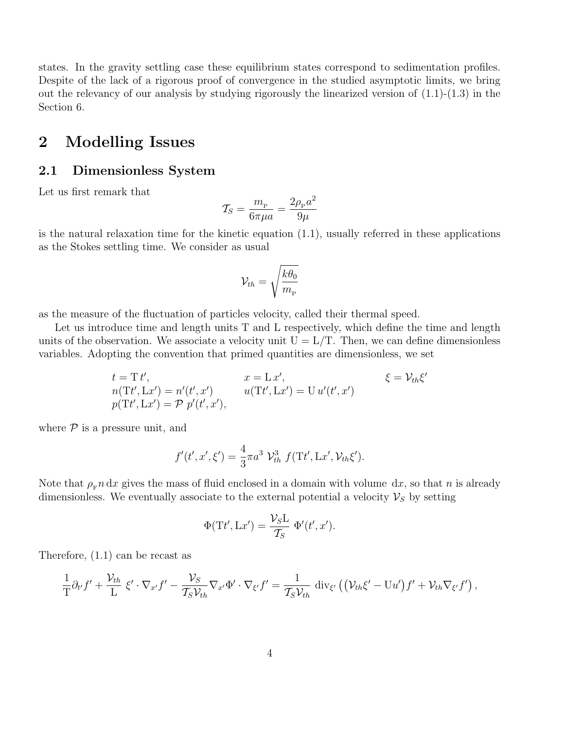states. In the gravity settling case these equilibrium states correspond to sedimentation profiles. Despite of the lack of a rigorous proof of convergence in the studied asymptotic limits, we bring out the relevancy of our analysis by studying rigorously the linearized version of  $(1.1)-(1.3)$  in the Section 6.

## 2 Modelling Issues

## 2.1 Dimensionless System

Let us first remark that

$$
\mathcal{T}_S = \frac{m_{\rm P}}{6\pi\mu a} = \frac{2\rho_{\rm P}a^2}{9\mu}
$$

is the natural relaxation time for the kinetic equation  $(1.1)$ , usually referred in these applications as the Stokes settling time. We consider as usual

$$
\mathcal{V}_{th}=\sqrt{\frac{k\theta_{0}}{m_{_{\rm P}}}}
$$

as the measure of the fluctuation of particles velocity, called their thermal speed.

Let us introduce time and length units T and L respectively, which define the time and length units of the observation. We associate a velocity unit  $U = L/T$ . Then, we can define dimensionless variables. Adopting the convention that primed quantities are dimensionless, we set

$$
t = T t',
$$
  
\n
$$
x = L x',
$$
  
\n
$$
n(Tt', Lx') = n'(t', x')
$$
  
\n
$$
u(Tt', Lx') = U u'(t', x')
$$
  
\n
$$
\xi = V_{th} \xi'
$$
  
\n
$$
p(Tt', Lx') = P p'(t', x'),
$$
  
\n
$$
\xi = V_{th} \xi'
$$

where  $P$  is a pressure unit, and

$$
f'(t',x',\xi') = \frac{4}{3}\pi a^3 \mathcal{V}_{th}^3 f(\mathrm{T}t',\mathrm{L}x',\mathcal{V}_{th}\xi').
$$

Note that  $\rho_{\rm F} n$  dx gives the mass of fluid enclosed in a domain with volume dx, so that n is already dimensionless. We eventually associate to the external potential a velocity  $\mathcal{V}_S$  by setting

$$
\Phi(\mathrm{T}t',\mathrm{L}x') = \frac{\mathcal{V}_S\mathrm{L}}{\mathcal{T}_S} \Phi'(t',x').
$$

Therefore, (1.1) can be recast as

$$
\frac{1}{T}\partial_{t'}f' + \frac{\mathcal{V}_{th}}{L}\xi' \cdot \nabla_{x'}f' - \frac{\mathcal{V}_S}{\mathcal{T}_S\mathcal{V}_{th}}\nabla_{x'}\Phi' \cdot \nabla_{\xi'}f' = \frac{1}{\mathcal{T}_S\mathcal{V}_{th}}\operatorname{div}_{\xi'}\left((\mathcal{V}_{th}\xi' - \mathrm{U}u')f' + \mathcal{V}_{th}\nabla_{\xi'}f'\right),
$$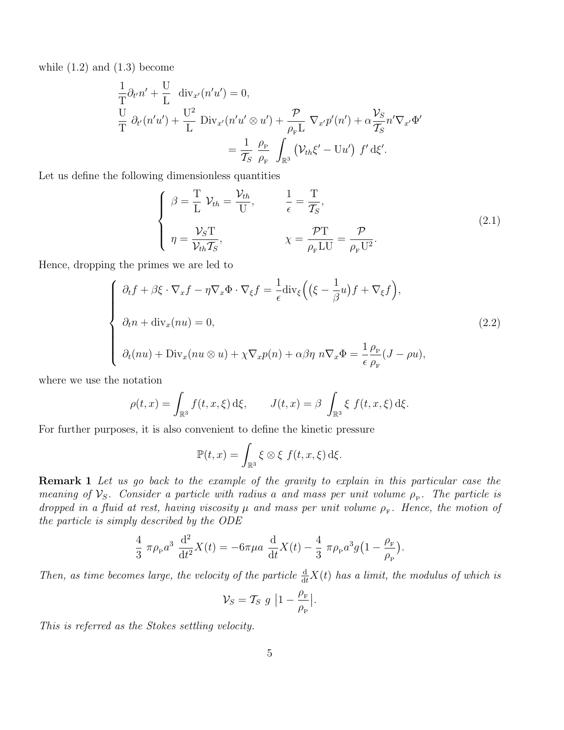while  $(1.2)$  and  $(1.3)$  become

$$
\frac{1}{T}\partial_{t'}n' + \frac{U}{L} \operatorname{div}_{x'}(n'u') = 0,
$$
\n
$$
\frac{U}{T}\partial_{t'}(n'u') + \frac{U^2}{L} \operatorname{Div}_{x'}(n'u' \otimes u') + \frac{\mathcal{P}}{\rho_{F}L} \nabla_{x'}p'(n') + \alpha \frac{\mathcal{V}_{S}}{\mathcal{T}_{S}}n'\nabla_{x'}\Phi'
$$
\n
$$
= \frac{1}{\mathcal{T}_{S}} \frac{\rho_{P}}{\rho_{F}} \int_{\mathbb{R}^{3}} (\mathcal{V}_{th}\xi' - Uu') f'\,d\xi'.
$$

Let us define the following dimensionless quantities

$$
\begin{cases}\n\beta = \frac{T}{L} \mathcal{V}_{th} = \frac{\mathcal{V}_{th}}{U}, & \frac{1}{\epsilon} = \frac{T}{\mathcal{T}_S}, \\
\eta = \frac{\mathcal{V}_S T}{\mathcal{V}_{th} \mathcal{T}_S}, & \chi = \frac{\mathcal{P} T}{\rho_{F} L U} = \frac{\mathcal{P}}{\rho_{F} U^2}.\n\end{cases}
$$
\n(2.1)

Hence, dropping the primes we are led to

$$
\begin{cases}\n\partial_t f + \beta \xi \cdot \nabla_x f - \eta \nabla_x \Phi \cdot \nabla_{\xi} f = \frac{1}{\epsilon} \text{div}_{\xi} \left( \left( \xi - \frac{1}{\beta} u \right) f + \nabla_{\xi} f \right), \\
\partial_t n + \text{div}_x(nu) = 0, \\
\partial_t (nu) + \text{Div}_x(nu \otimes u) + \chi \nabla_x p(n) + \alpha \beta \eta \ n \nabla_x \Phi = \frac{1}{\epsilon} \frac{\rho_{\text{P}}}{\rho_{\text{F}}} (J - \rho u),\n\end{cases}
$$
\n(2.2)

where we use the notation

$$
\rho(t,x) = \int_{\mathbb{R}^3} f(t,x,\xi) \,d\xi, \qquad J(t,x) = \beta \int_{\mathbb{R}^3} \xi \, f(t,x,\xi) \,d\xi.
$$

For further purposes, it is also convenient to define the kinetic pressure

$$
\mathbb{P}(t,x) = \int_{\mathbb{R}^3} \xi \otimes \xi \, f(t,x,\xi) \,d\xi.
$$

Remark 1 Let us go back to the example of the gravity to explain in this particular case the meaning of  $V_S$ . Consider a particle with radius a and mass per unit volume  $\rho_P$ . The particle is dropped in a fluid at rest, having viscosity  $\mu$  and mass per unit volume  $\rho_{\text{F}}$ . Hence, the motion of the particle is simply described by the ODE

$$
\frac{4}{3} \pi \rho_{P} a^{3} \frac{d^{2}}{dt^{2}} X(t) = -6\pi \mu a \frac{d}{dt} X(t) - \frac{4}{3} \pi \rho_{P} a^{3} g(1 - \frac{\rho_{F}}{\rho_{P}}).
$$

Then, as time becomes large, the velocity of the particle  $\frac{d}{dt}X(t)$  has a limit, the modulus of which is

$$
\mathcal{V}_S = \mathcal{T}_S \ g \ \Big| 1 - \frac{\rho_{\rm F}}{\rho_{\rm P}} \Big|.
$$

This is referred as the Stokes settling velocity.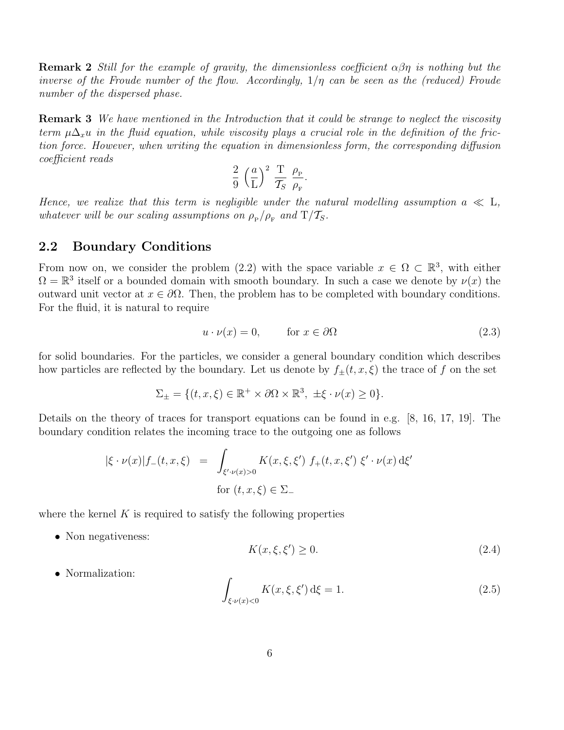**Remark 2** Still for the example of gravity, the dimensionless coefficient  $\alpha\beta\eta$  is nothing but the inverse of the Froude number of the flow. Accordingly,  $1/\eta$  can be seen as the (reduced) Froude number of the dispersed phase.

Remark 3 We have mentioned in the Introduction that it could be strange to neglect the viscosity term  $\mu\Delta_{x}u$  in the fluid equation, while viscosity plays a crucial role in the definition of the friction force. However, when writing the equation in dimensionless form, the corresponding diffusion coefficient reads

$$
\frac{2}{9} \left(\frac{a}{L}\right)^2 \frac{T}{\mathcal{T}_S} \frac{\rho_{\rm P}}{\rho_{\rm F}}.
$$

Hence, we realize that this term is negligible under the natural modelling assumption  $a \ll L$ , whatever will be our scaling assumptions on  $\rho_{\rm P}/\rho_{\rm F}$  and  ${\rm T}/\mathcal{T}_{\rm S}$ .

### 2.2 Boundary Conditions

From now on, we consider the problem (2.2) with the space variable  $x \in \Omega \subset \mathbb{R}^3$ , with either  $\Omega = \mathbb{R}^3$  itself or a bounded domain with smooth boundary. In such a case we denote by  $\nu(x)$  the outward unit vector at  $x \in \partial \Omega$ . Then, the problem has to be completed with boundary conditions. For the fluid, it is natural to require

$$
u \cdot \nu(x) = 0, \qquad \text{for } x \in \partial\Omega \tag{2.3}
$$

for solid boundaries. For the particles, we consider a general boundary condition which describes how particles are reflected by the boundary. Let us denote by  $f_{\pm}(t, x, \xi)$  the trace of f on the set

$$
\Sigma_{\pm} = \{ (t, x, \xi) \in \mathbb{R}^+ \times \partial \Omega \times \mathbb{R}^3, \ \pm \xi \cdot \nu(x) \ge 0 \}.
$$

Details on the theory of traces for transport equations can be found in e.g. [8, 16, 17, 19]. The boundary condition relates the incoming trace to the outgoing one as follows

$$
|\xi \cdot \nu(x)| f_{-}(t, x, \xi) = \int_{\xi' \cdot \nu(x) > 0} K(x, \xi, \xi') f_{+}(t, x, \xi') \xi' \cdot \nu(x) d\xi'
$$
  
for  $(t, x, \xi) \in \Sigma_{-}$ 

where the kernel  $K$  is required to satisfy the following properties

• Non negativeness:

$$
K(x,\xi,\xi') \ge 0. \tag{2.4}
$$

• Normalization:

$$
\int_{\xi \cdot \nu(x) < 0} K(x, \xi, \xi') \, \mathrm{d}\xi = 1. \tag{2.5}
$$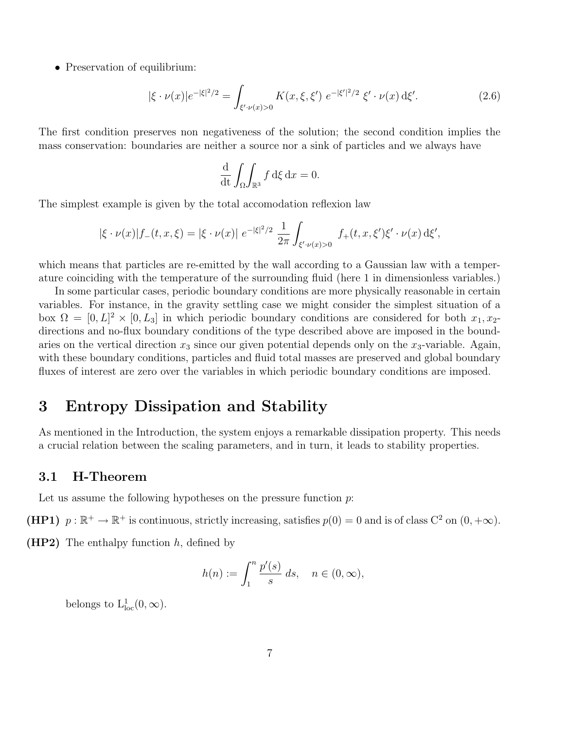• Preservation of equilibrium:

$$
|\xi \cdot \nu(x)|e^{-|\xi|^2/2} = \int_{\xi' \cdot \nu(x)>0} K(x,\xi,\xi') e^{-|\xi'|^2/2} \xi' \cdot \nu(x) d\xi'. \tag{2.6}
$$

The first condition preserves non negativeness of the solution; the second condition implies the mass conservation: boundaries are neither a source nor a sink of particles and we always have

$$
\frac{\mathrm{d}}{\mathrm{d}t} \int_{\Omega} \int_{\mathbb{R}^3} f \, \mathrm{d}\xi \, \mathrm{d}x = 0.
$$

The simplest example is given by the total accomodation reflexion law

$$
|\xi \cdot \nu(x)| f_{-}(t, x, \xi) = |\xi \cdot \nu(x)| e^{-|\xi|^2/2} \frac{1}{2\pi} \int_{\xi' \cdot \nu(x) > 0} f_{+}(t, x, \xi') \xi' \cdot \nu(x) d\xi',
$$

which means that particles are re-emitted by the wall according to a Gaussian law with a temperature coinciding with the temperature of the surrounding fluid (here 1 in dimensionless variables.)

In some particular cases, periodic boundary conditions are more physically reasonable in certain variables. For instance, in the gravity settling case we might consider the simplest situation of a box  $\Omega = [0, L]^2 \times [0, L_3]$  in which periodic boundary conditions are considered for both  $x_1, x_2$ directions and no-flux boundary conditions of the type described above are imposed in the boundaries on the vertical direction  $x_3$  since our given potential depends only on the  $x_3$ -variable. Again, with these boundary conditions, particles and fluid total masses are preserved and global boundary fluxes of interest are zero over the variables in which periodic boundary conditions are imposed.

## 3 Entropy Dissipation and Stability

As mentioned in the Introduction, the system enjoys a remarkable dissipation property. This needs a crucial relation between the scaling parameters, and in turn, it leads to stability properties.

### 3.1 H-Theorem

Let us assume the following hypotheses on the pressure function  $p$ :

(HP1)  $p : \mathbb{R}^+ \to \mathbb{R}^+$  is continuous, strictly increasing, satisfies  $p(0) = 0$  and is of class  $C^2$  on  $(0, +\infty)$ .

 $(HP2)$  The enthalpy function h, defined by

$$
h(n) := \int_1^n \frac{p'(s)}{s} ds, \quad n \in (0, \infty),
$$

belongs to  $L^1_{loc}(0, \infty)$ .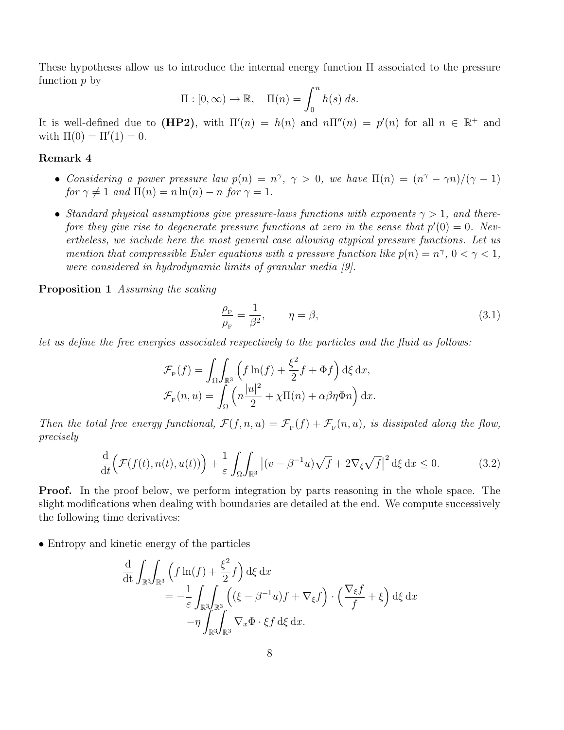These hypotheses allow us to introduce the internal energy function Π associated to the pressure function  $p$  by

$$
\Pi : [0, \infty) \to \mathbb{R}, \quad \Pi(n) = \int_0^n h(s) \, ds.
$$

It is well-defined due to (HP2), with  $\Pi'(n) = h(n)$  and  $n\Pi''(n) = p'(n)$  for all  $n \in \mathbb{R}^+$  and with  $\Pi(0) = \Pi'(1) = 0$ .

#### Remark 4

- Considering a power pressure law  $p(n) = n^{\gamma}, \gamma > 0$ , we have  $\Pi(n) = (n^{\gamma} \gamma n)/(\gamma 1)$ for  $\gamma \neq 1$  and  $\Pi(n) = n \ln(n) - n$  for  $\gamma = 1$ .
- Standard physical assumptions give pressure-laws functions with exponents  $\gamma > 1$ , and therefore they give rise to degenerate pressure functions at zero in the sense that  $p'(0) = 0$ . Nevertheless, we include here the most general case allowing atypical pressure functions. Let us mention that compressible Euler equations with a pressure function like  $p(n) = n^{\gamma}, 0 < \gamma < 1$ , were considered in hydrodynamic limits of granular media [9].

Proposition 1 Assuming the scaling

$$
\frac{\rho_{\rm P}}{\rho_{\rm F}} = \frac{1}{\beta^2}, \qquad \eta = \beta,
$$
\n(3.1)

let us define the free energies associated respectively to the particles and the fluid as follows:

$$
\mathcal{F}_{\mathbf{P}}(f) = \int_{\Omega} \int_{\mathbb{R}^3} \left( f \ln(f) + \frac{\xi^2}{2} f + \Phi f \right) d\xi \, dx,
$$
  

$$
\mathcal{F}_{\mathbf{P}}(n, u) = \int_{\Omega} \left( n \frac{|u|^2}{2} + \chi \Pi(n) + \alpha \beta \eta \Phi n \right) dx.
$$

Then the total free energy functional,  $\mathcal{F}(f,n,u) = \mathcal{F}_{p}(f) + \mathcal{F}_{F}(n,u)$ , is dissipated along the flow, precisely

$$
\frac{\mathrm{d}}{\mathrm{d}t}\Big(\mathcal{F}(f(t),n(t),u(t))\Big)+\frac{1}{\varepsilon}\int_{\Omega}\int_{\mathbb{R}^3}\left|(v-\beta^{-1}u)\sqrt{f}+2\nabla_{\xi}\sqrt{f}\right|^2\mathrm{d}\xi\,\mathrm{d}x\leq 0.\tag{3.2}
$$

Proof. In the proof below, we perform integration by parts reasoning in the whole space. The slight modifications when dealing with boundaries are detailed at the end. We compute successively the following time derivatives:

• Entropy and kinetic energy of the particles

$$
\frac{d}{dt} \int_{\mathbb{R}^3} \int_{\mathbb{R}^3} \left( f \ln(f) + \frac{\xi^2}{2} f \right) d\xi dx
$$
  
=  $-\frac{1}{\varepsilon} \int_{\mathbb{R}^3} \int_{\mathbb{R}^3} \left( (\xi - \beta^{-1} u) f + \nabla_{\xi} f \right) \cdot \left( \frac{\nabla_{\xi} f}{f} + \xi \right) d\xi dx$   
 $- \eta \int_{\mathbb{R}^3} \int_{\mathbb{R}^3} \nabla_x \Phi \cdot \xi f d\xi dx.$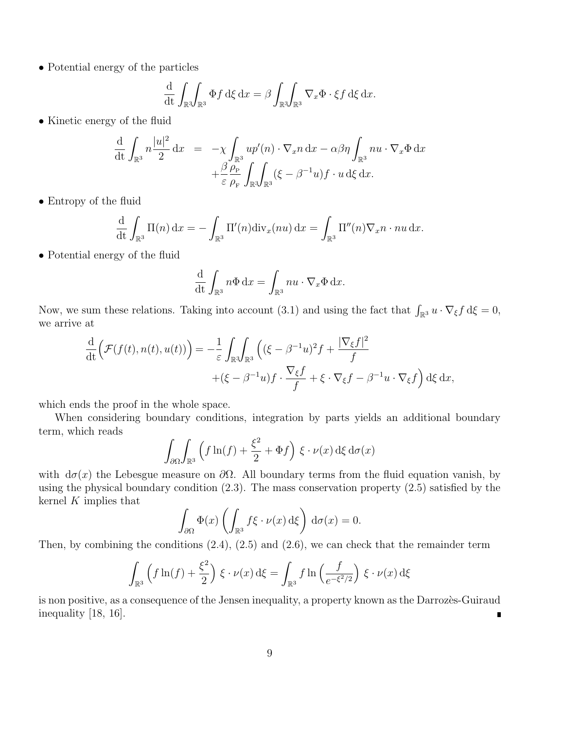• Potential energy of the particles

$$
\frac{\mathrm{d}}{\mathrm{d}t} \int_{\mathbb{R}^3} \int_{\mathbb{R}^3} \Phi f \, \mathrm{d}\xi \, \mathrm{d}x = \beta \int_{\mathbb{R}^3} \int_{\mathbb{R}^3} \nabla_x \Phi \cdot \xi f \, \mathrm{d}\xi \, \mathrm{d}x.
$$

• Kinetic energy of the fluid

$$
\frac{\mathrm{d}}{\mathrm{d}t} \int_{\mathbb{R}^3} n \frac{|u|^2}{2} dx = -\chi \int_{\mathbb{R}^3} u p'(n) \cdot \nabla_x n \, dx - \alpha \beta \eta \int_{\mathbb{R}^3} n u \cdot \nabla_x \Phi \, dx \n+ \frac{\beta}{\varepsilon} \frac{\rho_P}{\rho_F} \int_{\mathbb{R}^3} \int_{\mathbb{R}^3} (\xi - \beta^{-1} u) f \cdot u \, d\xi \, dx.
$$

• Entropy of the fluid

$$
\frac{\mathrm{d}}{\mathrm{d}t} \int_{\mathbb{R}^3} \Pi(n) \, \mathrm{d}x = - \int_{\mathbb{R}^3} \Pi'(n) \mathrm{div}_x(nu) \, \mathrm{d}x = \int_{\mathbb{R}^3} \Pi''(n) \nabla_x n \cdot nu \, \mathrm{d}x.
$$

• Potential energy of the fluid

$$
\frac{\mathrm{d}}{\mathrm{d}t} \int_{\mathbb{R}^3} n\Phi \, \mathrm{d}x = \int_{\mathbb{R}^3} n u \cdot \nabla_x \Phi \, \mathrm{d}x.
$$

Now, we sum these relations. Taking into account (3.1) and using the fact that  $\int_{\mathbb{R}^3} u \cdot \nabla_{\xi} f d\xi = 0$ , we arrive at

$$
\frac{\mathrm{d}}{\mathrm{d}t} \Big( \mathcal{F}(f(t), n(t), u(t)) \Big) = -\frac{1}{\varepsilon} \int_{\mathbb{R}^3} \int_{\mathbb{R}^3} \Big( (\xi - \beta^{-1} u)^2 f + \frac{|\nabla_{\xi} f|^2}{f} + (\xi - \beta^{-1} u) f \cdot \frac{\nabla_{\xi} f}{f} + \xi \cdot \nabla_{\xi} f - \beta^{-1} u \cdot \nabla_{\xi} f \Big) \, \mathrm{d}\xi \, \mathrm{d}x,
$$

which ends the proof in the whole space.

When considering boundary conditions, integration by parts yields an additional boundary term, which reads

$$
\int_{\partial\Omega} \int_{\mathbb{R}^3} \left( f \ln(f) + \frac{\xi^2}{2} + \Phi f \right) \xi \cdot \nu(x) \,d\xi \,d\sigma(x)
$$

with  $d\sigma(x)$  the Lebesgue measure on  $\partial\Omega$ . All boundary terms from the fluid equation vanish, by using the physical boundary condition (2.3). The mass conservation property (2.5) satisfied by the kernel  $K$  implies that

$$
\int_{\partial\Omega} \Phi(x) \left( \int_{\mathbb{R}^3} f\xi \cdot \nu(x) \,d\xi \right) d\sigma(x) = 0.
$$

Then, by combining the conditions (2.4), (2.5) and (2.6), we can check that the remainder term

$$
\int_{\mathbb{R}^3} \left( f \ln(f) + \frac{\xi^2}{2} \right) \xi \cdot \nu(x) \,d\xi = \int_{\mathbb{R}^3} f \ln \left( \frac{f}{e^{-\xi^2/2}} \right) \xi \cdot \nu(x) \,d\xi
$$

is non positive, as a consequence of the Jensen inequality, a property known as the Darrozes-Guiraud inequality [18, 16].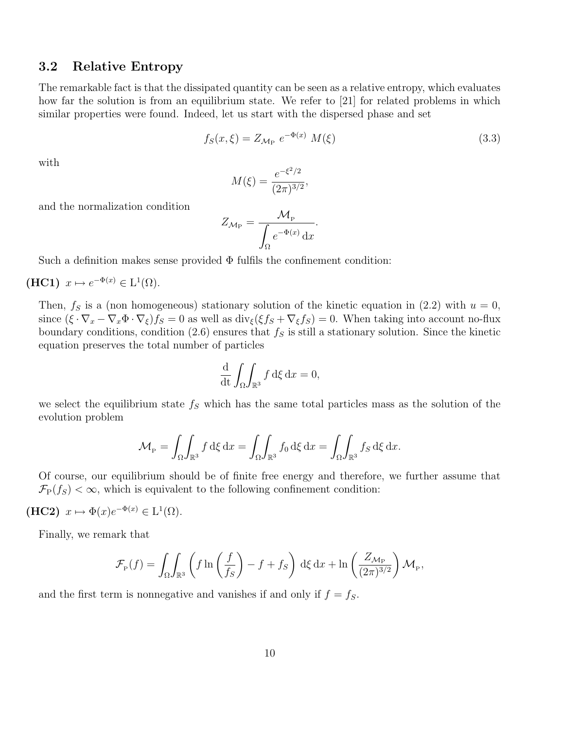## 3.2 Relative Entropy

The remarkable fact is that the dissipated quantity can be seen as a relative entropy, which evaluates how far the solution is from an equilibrium state. We refer to [21] for related problems in which similar properties were found. Indeed, let us start with the dispersed phase and set

$$
f_S(x,\xi) = Z_{\mathcal{M}_{\mathcal{P}}} e^{-\Phi(x)} M(\xi)
$$
\n(3.3)

with

$$
M(\xi) = \frac{e^{-\xi^2/2}}{(2\pi)^{3/2}},
$$

and the normalization condition

$$
Z_{\mathcal{M}_{\mathrm{P}}} = \frac{\mathcal{M}_{\mathrm{P}}}{\int_{\Omega} e^{-\Phi(x)} \,\mathrm{d}x}.
$$

Such a definition makes sense provided  $\Phi$  fulfils the confinement condition:

## $(HC1)$   $x \mapsto e^{-\Phi(x)} \in L^1(\Omega)$ .

Then,  $f<sub>S</sub>$  is a (non homogeneous) stationary solution of the kinetic equation in (2.2) with  $u = 0$ , since  $(\xi \cdot \nabla_x - \nabla_x \Phi \cdot \nabla_{\xi}) f_S = 0$  as well as  $\text{div}_{\xi} (\xi f_S + \nabla_{\xi} f_S) = 0$ . When taking into account no-flux boundary conditions, condition (2.6) ensures that  $f<sub>S</sub>$  is still a stationary solution. Since the kinetic equation preserves the total number of particles

$$
\frac{\mathrm{d}}{\mathrm{d}t} \int_{\Omega} \int_{\mathbb{R}^3} f \, \mathrm{d}\xi \, \mathrm{d}x = 0,
$$

we select the equilibrium state  $f<sub>S</sub>$  which has the same total particles mass as the solution of the evolution problem

$$
\mathcal{M}_{P} = \int_{\Omega} \int_{\mathbb{R}^{3}} f \, d\xi \, dx = \int_{\Omega} \int_{\mathbb{R}^{3}} f_{0} \, d\xi \, dx = \int_{\Omega} \int_{\mathbb{R}^{3}} f_{S} \, d\xi \, dx.
$$

Of course, our equilibrium should be of finite free energy and therefore, we further assume that  $\mathcal{F}_{\text{P}}(f_S) < \infty$ , which is equivalent to the following confinement condition:

(HC2) 
$$
x \mapsto \Phi(x)e^{-\Phi(x)} \in L^1(\Omega)
$$
.

Finally, we remark that

$$
\mathcal{F}_{\rm P}(f) = \int_{\Omega} \int_{\mathbb{R}^3} \left( f \ln \left( \frac{f}{f_S} \right) - f + f_S \right) \, d\xi \, dx + \ln \left( \frac{Z_{\mathcal{M}_{\rm P}}}{(2\pi)^{3/2}} \right) \mathcal{M}_{\rm P},
$$

and the first term is nonnegative and vanishes if and only if  $f = f<sub>S</sub>$ .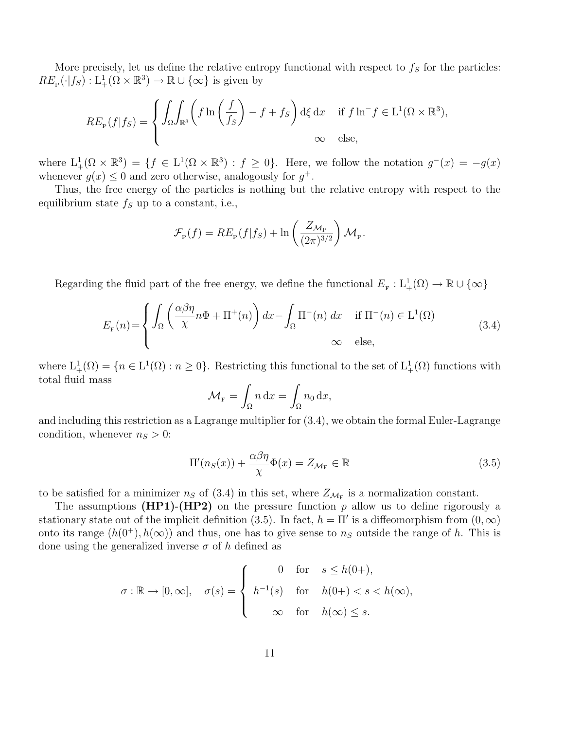More precisely, let us define the relative entropy functional with respect to  $f_s$  for the particles:  $RE_{\mathcal{P}}(\cdot | f_S) : L^1_+(\Omega \times \mathbb{R}^3) \to \mathbb{R} \cup {\infty}$  is given by

$$
RE_{\mathcal{P}}(f|f_S) = \begin{cases} \int_{\Omega} \int_{\mathbb{R}^3} \left( f \ln \left( \frac{f}{f_S} \right) - f + f_S \right) d\xi \, dx & \text{if } f \ln^{-} f \in \mathcal{L}^1(\Omega \times \mathbb{R}^3), \\ \infty & \text{else,} \end{cases}
$$

where  $L^1_+(\Omega \times \mathbb{R}^3) = \{f \in L^1(\Omega \times \mathbb{R}^3) : f \geq 0\}$ . Here, we follow the notation  $g^-(x) = -g(x)$ whenever  $g(x) \leq 0$  and zero otherwise, analogously for  $g^+$ .

Thus, the free energy of the particles is nothing but the relative entropy with respect to the equilibrium state  $f_S$  up to a constant, i.e.,

$$
\mathcal{F}_{\mathrm{P}}(f) = RE_{\mathrm{P}}(f|f_S) + \ln\left(\frac{Z_{\mathcal{M}_{\mathrm{P}}}}{(2\pi)^{3/2}}\right) \mathcal{M}_{\mathrm{P}}.
$$

Regarding the fluid part of the free energy, we define the functional  $E_{\rm F}: L^1_+(\Omega) \to \mathbb{R} \cup {\infty}$ 

$$
E_{\rm F}(n) = \begin{cases} \int_{\Omega} \left( \frac{\alpha \beta \eta}{\chi} n \Phi + \Pi^{+}(n) \right) dx - \int_{\Omega} \Pi^{-}(n) dx & \text{if } \Pi^{-}(n) \in L^{1}(\Omega) \\ \infty & \text{else,} \end{cases}
$$
(3.4)

where  $L^1_+(\Omega) = \{n \in L^1(\Omega) : n \geq 0\}$ . Restricting this functional to the set of  $L^1_+(\Omega)$  functions with total fluid mass

$$
\mathcal{M}_{\mathbf{F}} = \int_{\Omega} n \, \mathrm{d}x = \int_{\Omega} n_0 \, \mathrm{d}x,
$$

and including this restriction as a Lagrange multiplier for (3.4), we obtain the formal Euler-Lagrange condition, whenever  $n_S > 0$ :

$$
\Pi'(n_S(x)) + \frac{\alpha \beta \eta}{\chi} \Phi(x) = Z_{\mathcal{M}_{\mathcal{F}}} \in \mathbb{R}
$$
\n(3.5)

to be satisfied for a minimizer  $n_S$  of (3.4) in this set, where  $Z_{\mathcal{M}_F}$  is a normalization constant.

The assumptions  $(HP1)-(HP2)$  on the pressure function p allow us to define rigorously a stationary state out of the implicit definition (3.5). In fact,  $h = \Pi'$  is a diffeomorphism from  $(0, \infty)$ onto its range  $(h(0^+), h(\infty))$  and thus, one has to give sense to  $n<sub>S</sub>$  outside the range of h. This is done using the generalized inverse  $\sigma$  of h defined as

$$
\sigma : \mathbb{R} \to [0, \infty], \quad \sigma(s) = \begin{cases} 0 & \text{for} \quad s \le h(0+), \\ h^{-1}(s) & \text{for} \quad h(0+) < s < h(\infty), \\ \infty & \text{for} \quad h(\infty) \le s. \end{cases}
$$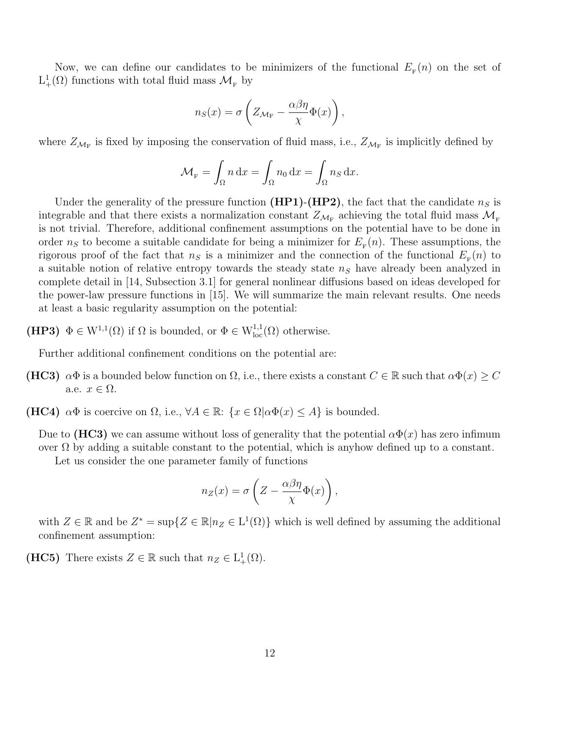Now, we can define our candidates to be minimizers of the functional  $E_{\rm F}(n)$  on the set of  $L^1_+(\Omega)$  functions with total fluid mass  $\mathcal{M}_F$  by

$$
n_S(x) = \sigma \left( Z_{\mathcal{M}_\mathrm{F}} - \frac{\alpha \beta \eta}{\chi} \Phi(x) \right),
$$

where  $Z_{\mathcal{M}_{\rm F}}$  is fixed by imposing the conservation of fluid mass, i.e.,  $Z_{\mathcal{M}_{\rm F}}$  is implicitly defined by

$$
\mathcal{M}_{F} = \int_{\Omega} n \, dx = \int_{\Omega} n_0 \, dx = \int_{\Omega} n_S \, dx.
$$

Under the generality of the pressure function (HP1)-(HP2), the fact that the candidate  $n<sub>S</sub>$  is integrable and that there exists a normalization constant  $Z_{\mathcal{M}_{\rm F}}$  achieving the total fluid mass  $\mathcal{M}_{\rm F}$ is not trivial. Therefore, additional confinement assumptions on the potential have to be done in order  $n<sub>S</sub>$  to become a suitable candidate for being a minimizer for  $E<sub>F</sub>(n)$ . These assumptions, the rigorous proof of the fact that  $n<sub>S</sub>$  is a minimizer and the connection of the functional  $E<sub>F</sub>(n)$  to a suitable notion of relative entropy towards the steady state  $n<sub>S</sub>$  have already been analyzed in complete detail in [14, Subsection 3.1] for general nonlinear diffusions based on ideas developed for the power-law pressure functions in [15]. We will summarize the main relevant results. One needs at least a basic regularity assumption on the potential:

(HP3)  $\Phi \in W^{1,1}(\Omega)$  if  $\Omega$  is bounded, or  $\Phi \in W^{1,1}_{loc}(\Omega)$  otherwise.

Further additional confinement conditions on the potential are:

- (HC3)  $\alpha\Phi$  is a bounded below function on  $\Omega$ , i.e., there exists a constant  $C \in \mathbb{R}$  such that  $\alpha\Phi(x) \geq C$ a.e.  $x \in \Omega$ .
- (HC4)  $\alpha\Phi$  is coercive on  $\Omega$ , i.e.,  $\forall A \in \mathbb{R}$ :  $\{x \in \Omega | \alpha\Phi(x) \leq A\}$  is bounded.

Due to (HC3) we can assume without loss of generality that the potential  $\alpha \Phi(x)$  has zero infimum over  $\Omega$  by adding a suitable constant to the potential, which is anyhow defined up to a constant.

Let us consider the one parameter family of functions

$$
n_Z(x) = \sigma \left( Z - \frac{\alpha \beta \eta}{\chi} \Phi(x) \right),\,
$$

with  $Z \in \mathbb{R}$  and be  $Z^* = \sup\{Z \in \mathbb{R} | n_Z \in L^1(\Omega)\}\$  which is well defined by assuming the additional confinement assumption:

(HC5) There exists  $Z \in \mathbb{R}$  such that  $n_Z \in L^1_+(\Omega)$ .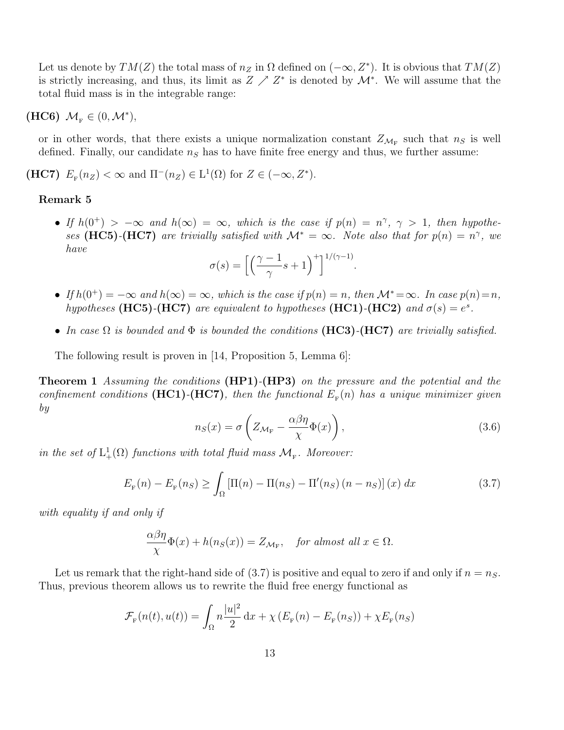Let us denote by  $TM(Z)$  the total mass of  $n_Z$  in  $\Omega$  defined on  $(-\infty, Z^*)$ . It is obvious that  $TM(Z)$ is strictly increasing, and thus, its limit as  $Z \nearrow Z^*$  is denoted by  $\mathcal{M}^*$ . We will assume that the total fluid mass is in the integrable range:

(HC6)  $\mathcal{M}_F \in (0, \mathcal{M}^*),$ 

or in other words, that there exists a unique normalization constant  $Z_{\mathcal{M}_{\rm F}}$  such that  $n_S$  is well defined. Finally, our candidate  $n<sub>S</sub>$  has to have finite free energy and thus, we further assume:

(HC7)  $E_{\rm F}(n_Z) < \infty$  and  $\Pi^-(n_Z) \in L^1(\Omega)$  for  $Z \in (-\infty, Z^*)$ .

#### Remark 5

• If  $h(0^+) > -\infty$  and  $h(\infty) = \infty$ , which is the case if  $p(n) = n^{\gamma}$ ,  $\gamma > 1$ , then hypotheses (HC5)-(HC7) are trivially satisfied with  $\mathcal{M}^* = \infty$ . Note also that for  $p(n) = n^{\gamma}$ , we have

$$
\sigma(s) = \left[ \left( \frac{\gamma - 1}{\gamma} s + 1 \right)^{+} \right]^{1/(\gamma - 1)}.
$$

- If  $h(0^+) = -\infty$  and  $h(\infty) = \infty$ , which is the case if  $p(n) = n$ , then  $\mathcal{M}^* = \infty$ . In case  $p(n) = n$ , hypotheses (HC5)-(HC7) are equivalent to hypotheses (HC1)-(HC2) and  $\sigma(s) = e^s$ .
- In case  $\Omega$  is bounded and  $\Phi$  is bounded the conditions (HC3)-(HC7) are trivially satisfied.

The following result is proven in [14, Proposition 5, Lemma 6]:

**Theorem 1** Assuming the conditions (HP1)-(HP3) on the pressure and the potential and the confinement conditions (HC1)-(HC7), then the functional  $E_{\rm F}(n)$  has a unique minimizer given by

$$
n_S(x) = \sigma \left( Z_{\mathcal{M}_{\mathcal{F}}} - \frac{\alpha \beta \eta}{\chi} \Phi(x) \right),\tag{3.6}
$$

in the set of  $L^1_+(\Omega)$  functions with total fluid mass  $\mathcal{M}_F$ . Moreover:

$$
E_{\rm F}(n) - E_{\rm F}(n_S) \ge \int_{\Omega} \left[ \Pi(n) - \Pi(n_S) - \Pi'(n_S) (n - n_S) \right](x) dx \tag{3.7}
$$

with equality if and only if

$$
\frac{\alpha\beta\eta}{\chi}\Phi(x) + h(n_S(x)) = Z_{\mathcal{M}_{\mathcal{F}}}, \quad \text{for almost all } x \in \Omega.
$$

Let us remark that the right-hand side of  $(3.7)$  is positive and equal to zero if and only if  $n = n<sub>S</sub>$ . Thus, previous theorem allows us to rewrite the fluid free energy functional as

$$
\mathcal{F}_{F}(n(t), u(t)) = \int_{\Omega} n \frac{|u|^2}{2} dx + \chi \left( E_{F}(n) - E_{F}(n_{S}) \right) + \chi E_{F}(n_{S})
$$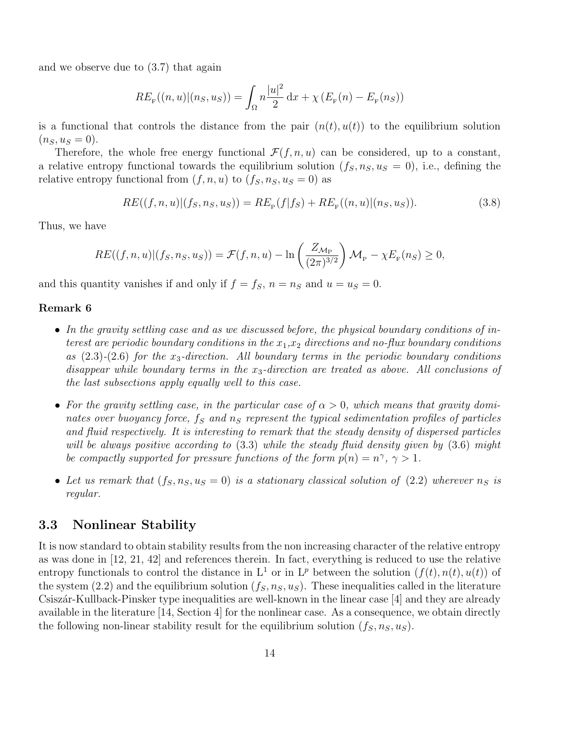and we observe due to (3.7) that again

$$
RE_{F}((n, u)|(n_S, u_S)) = \int_{\Omega} n \frac{|u|^2}{2} dx + \chi (E_{F}(n) - E_{F}(n_S))
$$

is a functional that controls the distance from the pair  $(n(t), u(t))$  to the equilibrium solution  $(n_S, u_S = 0).$ 

Therefore, the whole free energy functional  $\mathcal{F}(f, n, u)$  can be considered, up to a constant, a relative entropy functional towards the equilibrium solution  $(f_S, n_S, u_S = 0)$ , i.e., defining the relative entropy functional from  $(f, n, u)$  to  $(f_S, n_S, u_S = 0)$  as

$$
RE((f, n, u)|(f_S, n_S, u_S)) = RE_{\mathcal{F}}(f|f_S) + RE_{\mathcal{F}}((n, u)|(n_S, u_S)).
$$
\n(3.8)

Thus, we have

$$
RE((f, n, u)|(f_S, n_S, u_S)) = \mathcal{F}(f, n, u) - \ln\left(\frac{Z_{\mathcal{M}_{\mathcal{P}}}}{(2\pi)^{3/2}}\right) \mathcal{M}_{\mathcal{P}} - \chi E_{\mathcal{F}}(n_S) \ge 0,
$$

and this quantity vanishes if and only if  $f = f<sub>S</sub>$ ,  $n = n<sub>S</sub>$  and  $u = u<sub>S</sub> = 0$ .

#### Remark 6

- In the gravity settling case and as we discussed before, the physical boundary conditions of interest are periodic boundary conditions in the  $x_1,x_2$  directions and no-flux boundary conditions as  $(2.3)-(2.6)$  for the  $x_3$ -direction. All boundary terms in the periodic boundary conditions disappear while boundary terms in the  $x_3$ -direction are treated as above. All conclusions of the last subsections apply equally well to this case.
- For the gravity settling case, in the particular case of  $\alpha > 0$ , which means that gravity dominates over buoyancy force,  $f_S$  and  $n_S$  represent the typical sedimentation profiles of particles and fluid respectively. It is interesting to remark that the steady density of dispersed particles will be always positive according to  $(3.3)$  while the steady fluid density given by  $(3.6)$  might be compactly supported for pressure functions of the form  $p(n) = n^{\gamma}, \gamma > 1$ .
- Let us remark that  $(f_S, n_S, u_S = 0)$  is a stationary classical solution of (2.2) wherever  $n_S$  is regular.

### 3.3 Nonlinear Stability

It is now standard to obtain stability results from the non increasing character of the relative entropy as was done in [12, 21, 42] and references therein. In fact, everything is reduced to use the relative entropy functionals to control the distance in  $L^1$  or in  $L^p$  between the solution  $(f(t), n(t), u(t))$  of the system (2.2) and the equilibrium solution  $(f_S, n_S, u_S)$ . These inequalities called in the literature Csisz´ar-Kullback-Pinsker type inequalities are well-known in the linear case [4] and they are already available in the literature [14, Section 4] for the nonlinear case. As a consequence, we obtain directly the following non-linear stability result for the equilibrium solution  $(f_S, n_S, u_S)$ .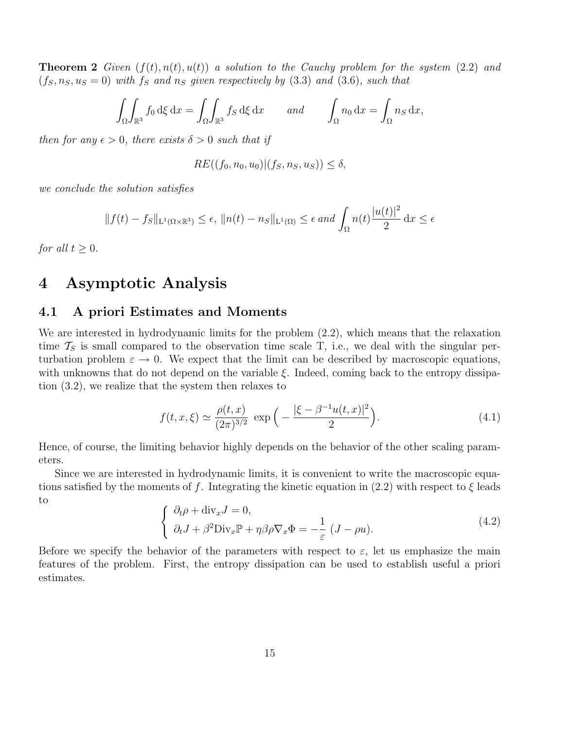**Theorem 2** Given  $(f(t), n(t), u(t))$  a solution to the Cauchy problem for the system (2.2) and  $(f_S, n_S, u_S = 0)$  with  $f_S$  and  $n_S$  given respectively by (3.3) and (3.6), such that

$$
\int_{\Omega} \int_{\mathbb{R}^3} f_0 \,d\xi \,dx = \int_{\Omega} \int_{\mathbb{R}^3} f_S \,d\xi \,dx \quad \text{and} \quad \int_{\Omega} n_0 \,dx = \int_{\Omega} n_S \,dx,
$$

then for any  $\epsilon > 0$ , there exists  $\delta > 0$  such that if

$$
RE((f_0,n_0,u_0)|(f_S,n_S,u_S)) \le \delta,
$$

we conclude the solution satisfies

$$
||f(t) - f_S||_{\mathcal{L}^1(\Omega \times \mathbb{R}^3)} \le \epsilon, ||n(t) - n_S||_{\mathcal{L}^1(\Omega)} \le \epsilon \text{ and } \int_{\Omega} n(t) \frac{|u(t)|^2}{2} dx \le \epsilon
$$

for all  $t \geq 0$ .

## 4 Asymptotic Analysis

### 4.1 A priori Estimates and Moments

We are interested in hydrodynamic limits for the problem (2.2), which means that the relaxation time  $\mathcal{T}_S$  is small compared to the observation time scale T, i.e., we deal with the singular perturbation problem  $\varepsilon \to 0$ . We expect that the limit can be described by macroscopic equations, with unknowns that do not depend on the variable  $\xi$ . Indeed, coming back to the entropy dissipation (3.2), we realize that the system then relaxes to

$$
f(t, x, \xi) \simeq \frac{\rho(t, x)}{(2\pi)^{3/2}} \exp\left(-\frac{|\xi - \beta^{-1}u(t, x)|^2}{2}\right).
$$
 (4.1)

Hence, of course, the limiting behavior highly depends on the behavior of the other scaling parameters.

Since we are interested in hydrodynamic limits, it is convenient to write the macroscopic equations satisfied by the moments of f. Integrating the kinetic equation in  $(2.2)$  with respect to  $\xi$  leads to  $\mathcal{L}^{\text{max}}$ 

$$
\begin{cases} \n\partial_t \rho + \text{div}_x J = 0, \\
\partial_t J + \beta^2 \text{Div}_x \mathbb{P} + \eta \beta \rho \nabla_x \Phi = -\frac{1}{\varepsilon} (J - \rho u). \n\end{cases} \tag{4.2}
$$

Before we specify the behavior of the parameters with respect to  $\varepsilon$ , let us emphasize the main features of the problem. First, the entropy dissipation can be used to establish useful a priori estimates.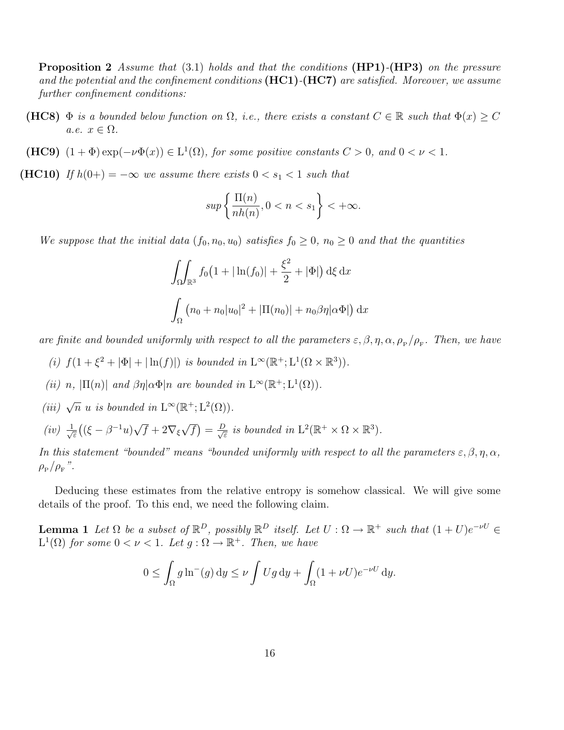Proposition 2 Assume that (3.1) holds and that the conditions (HP1)-(HP3) on the pressure and the potential and the confinement conditions  $(HC1)$ - $(HC7)$  are satisfied. Moreover, we assume further confinement conditions:

- (HC8)  $\Phi$  is a bounded below function on  $\Omega$ , i.e., there exists a constant  $C \in \mathbb{R}$  such that  $\Phi(x) \geq C$ a.e.  $x \in \Omega$ .
- (HC9)  $(1 + \Phi) \exp(-\nu \Phi(x)) \in L^1(\Omega)$ , for some positive constants  $C > 0$ , and  $0 < \nu < 1$ .
- (HC10) If  $h(0+) = -\infty$  we assume there exists  $0 < s_1 < 1$  such that

$$
\sup \left\{\frac{\Pi(n)}{nh(n)}, 0 < n < s_1\right\} < +\infty.
$$

We suppose that the initial data  $(f_0, n_0, u_0)$  satisfies  $f_0 \geq 0$ ,  $n_0 \geq 0$  and that the quantities

$$
\int_{\Omega} \int_{\mathbb{R}^3} f_0 \left( 1 + |\ln(f_0)| + \frac{\xi^2}{2} + |\Phi| \right) d\xi \, dx
$$

$$
\int_{\Omega} \left( n_0 + n_0 |u_0|^2 + |\Pi(n_0)| + n_0 \beta \eta | \alpha \Phi| \right) dx
$$

are finite and bounded uniformly with respect to all the parameters  $\varepsilon, \beta, \eta, \alpha, \rho_{\rm p}/\rho_{\rm F}$ . Then, we have

- (i)  $f(1+\xi^2+|\Phi|+|\ln(f)|)$  is bounded in  $L^{\infty}(\mathbb{R}^+;\mathrm{L}^1(\Omega\times\mathbb{R}^3)).$
- (ii) n,  $|\Pi(n)|$  and  $\beta\eta|\alpha\Phi|n$  are bounded in  $L^{\infty}(\mathbb{R}^+;\mathrm{L}^1(\Omega)).$
- (iii)  $\sqrt{n}$  u is bounded in  $L^{\infty}(\mathbb{R}^+;\mathcal{L}^2(\Omega)).$
- $(iv) \frac{1}{\sqrt{2}}$  $\frac{1}{\varepsilon}\left((\xi-\beta^{-1}u)\sqrt{f}+2\nabla_{\xi}\sqrt{f}\right)=\frac{D}{\sqrt{\varepsilon}}$  $\frac{1}{\epsilon}$  is bounded in  $L^2(\mathbb{R}^+ \times \Omega \times \mathbb{R}^3)$ .

In this statement "bounded" means "bounded uniformly with respect to all the parameters  $\varepsilon, \beta, \eta, \alpha$ ,  $\rho_{_{\rm P}}/\rho_{_{\rm F}}$ ".

Deducing these estimates from the relative entropy is somehow classical. We will give some details of the proof. To this end, we need the following claim.

**Lemma 1** Let  $\Omega$  be a subset of  $\mathbb{R}^D$ , possibly  $\mathbb{R}^D$  itself. Let  $U : \Omega \to \mathbb{R}^+$  such that  $(1+U)e^{-\nu U} \in$  $L^1(\Omega)$  for some  $0 < \nu < 1$ . Let  $g : \Omega \to \mathbb{R}^+$ . Then, we have

$$
0 \le \int_{\Omega} g \ln^{-}(g) dy \le \nu \int Ug dy + \int_{\Omega} (1 + \nu U)e^{-\nu U} dy.
$$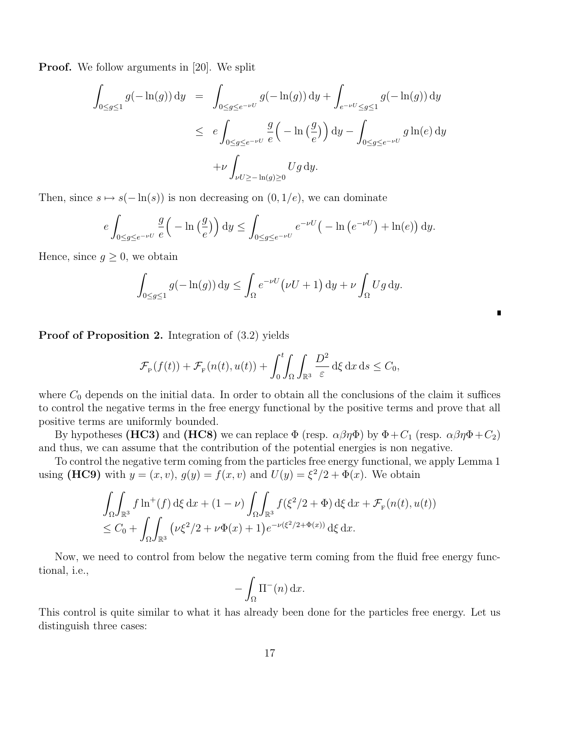**Proof.** We follow arguments in [20]. We split

$$
\int_{0 \le g \le 1} g(-\ln(g)) dy = \int_{0 \le g \le e^{-\nu U}} g(-\ln(g)) dy + \int_{e^{-\nu U} \le g \le 1} g(-\ln(g)) dy
$$
  

$$
\le e \int_{0 \le g \le e^{-\nu U}} \frac{g}{e} \left(-\ln\left(\frac{g}{e}\right)\right) dy - \int_{0 \le g \le e^{-\nu U}} g \ln(e) dy
$$
  

$$
+ \nu \int_{\nu U \ge -\ln(g) \ge 0} U g dy.
$$

Then, since  $s \mapsto s(-\ln(s))$  is non decreasing on  $(0, 1/e)$ , we can dominate

$$
e\int_{0\le g\le e^{-\nu U}}\frac{g}{e}\Big(-\ln\big(\frac{g}{e}\big)\Big)\,\mathrm{d}y\le \int_{0\le g\le e^{-\nu U}}e^{-\nu U}\big(-\ln\big(e^{-\nu U}\big)+\ln(e)\big)\,\mathrm{d}y.
$$

Hence, since  $g \geq 0$ , we obtain

$$
\int_{0 \le g \le 1} g(-\ln(g)) dy \le \int_{\Omega} e^{-\nu U} (\nu U + 1) dy + \nu \int_{\Omega} Ug dy.
$$

 $\blacksquare$ 

Proof of Proposition 2. Integration of  $(3.2)$  yields

$$
\mathcal{F}_{\mathcal{P}}(f(t)) + \mathcal{F}_{\mathcal{F}}(n(t), u(t)) + \int_0^t \int_{\Omega} \int_{\mathbb{R}^3} \frac{D^2}{\varepsilon} d\xi \, dx \, ds \le C_0,
$$

where  $C_0$  depends on the initial data. In order to obtain all the conclusions of the claim it suffices to control the negative terms in the free energy functional by the positive terms and prove that all positive terms are uniformly bounded.

By hypotheses (HC3) and (HC8) we can replace  $\Phi$  (resp.  $\alpha\beta\eta\Phi$ ) by  $\Phi + C_1$  (resp.  $\alpha\beta\eta\Phi + C_2$ ) and thus, we can assume that the contribution of the potential energies is non negative.

To control the negative term coming from the particles free energy functional, we apply Lemma 1 using (HC9) with  $y = (x, v), g(y) = f(x, v)$  and  $U(y) = \xi^2/2 + \Phi(x)$ . We obtain

$$
\int_{\Omega} \int_{\mathbb{R}^3} f \ln^+(f) \, d\xi \, dx + (1 - \nu) \int_{\Omega} \int_{\mathbb{R}^3} f(\xi^2/2 + \Phi) \, d\xi \, dx + \mathcal{F}_{\mathbb{F}}(n(t), u(t))
$$
  
\n
$$
\leq C_0 + \int_{\Omega} \int_{\mathbb{R}^3} (\nu \xi^2/2 + \nu \Phi(x) + 1) e^{-\nu(\xi^2/2 + \Phi(x))} \, d\xi \, dx.
$$

Now, we need to control from below the negative term coming from the fluid free energy functional, i.e.,

$$
-\int_{\Omega} \Pi^{-}(n) \, \mathrm{d}x.
$$

This control is quite similar to what it has already been done for the particles free energy. Let us distinguish three cases: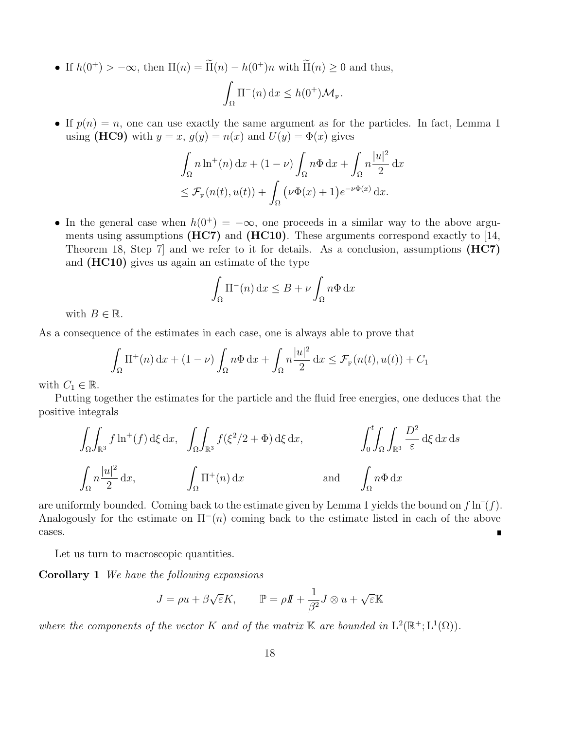• If  $h(0^+) > -\infty$ , then  $\Pi(n) = \tilde{\Pi}(n) - h(0^+)n$  with  $\tilde{\Pi}(n) \geq 0$  and thus,

$$
\int_{\Omega} \Pi^-(n) \, \mathrm{d}x \le h(0^+) \mathcal{M}_{\mathrm{F}}.
$$

• If  $p(n) = n$ , one can use exactly the same argument as for the particles. In fact, Lemma 1 using (HC9) with  $y = x$ ,  $g(y) = n(x)$  and  $U(y) = \Phi(x)$  gives

$$
\int_{\Omega} n \ln^{+}(n) dx + (1 - \nu) \int_{\Omega} n \Phi dx + \int_{\Omega} n \frac{|u|^2}{2} dx
$$
  

$$
\leq \mathcal{F}_{\mathcal{F}}(n(t), u(t)) + \int_{\Omega} (\nu \Phi(x) + 1) e^{-\nu \Phi(x)} dx.
$$

• In the general case when  $h(0^+) = -\infty$ , one proceeds in a similar way to the above arguments using assumptions  $(HC7)$  and  $(HC10)$ . These arguments correspond exactly to [14, Theorem 18, Step 7] and we refer to it for details. As a conclusion, assumptions (HC7) and (HC10) gives us again an estimate of the type

$$
\int_{\Omega} \Pi^-(n) \, \mathrm{d}x \le B + \nu \int_{\Omega} n \Phi \, \mathrm{d}x
$$

with  $B \in \mathbb{R}$ .

As a consequence of the estimates in each case, one is always able to prove that

$$
\int_{\Omega} \Pi^+(n) \, dx + (1 - \nu) \int_{\Omega} n \Phi \, dx + \int_{\Omega} n \frac{|u|^2}{2} \, dx \leq \mathcal{F}_{F}(n(t), u(t)) + C_1
$$

with  $C_1 \in \mathbb{R}$ .

Putting together the estimates for the particle and the fluid free energies, one deduces that the positive integrals

$$
\int_{\Omega} \int_{\mathbb{R}^3} f \ln^+(f) \,d\xi \,dx, \quad \int_{\Omega} \int_{\mathbb{R}^3} f(\xi^2/2 + \Phi) \,d\xi \,dx, \qquad \qquad \int_0^t \int_{\Omega} \int_{\mathbb{R}^3} \frac{D^2}{\varepsilon} \,d\xi \,dx \,ds
$$

$$
\int_{\Omega} n \frac{|u|^2}{2} \,dx, \qquad \int_{\Omega} \Pi^+(n) \,dx \qquad \text{and} \qquad \int_{\Omega} n \Phi \,dx
$$

are uniformly bounded. Coming back to the estimate given by Lemma 1 yields the bound on  $f \ln^{-1}(f)$ . Analogously for the estimate on  $\Pi^-(n)$  coming back to the estimate listed in each of the above cases.

Let us turn to macroscopic quantities.

Corollary 1 We have the following expansions

$$
J = \rho u + \beta \sqrt{\varepsilon} K, \qquad \mathbb{P} = \rho I\!\!I + \frac{1}{\beta^2} J \otimes u + \sqrt{\varepsilon} \mathbb{K}
$$

where the components of the vector K and of the matrix K are bounded in  $L^2(\mathbb{R}^+;\mathrm{L}^1(\Omega))$ .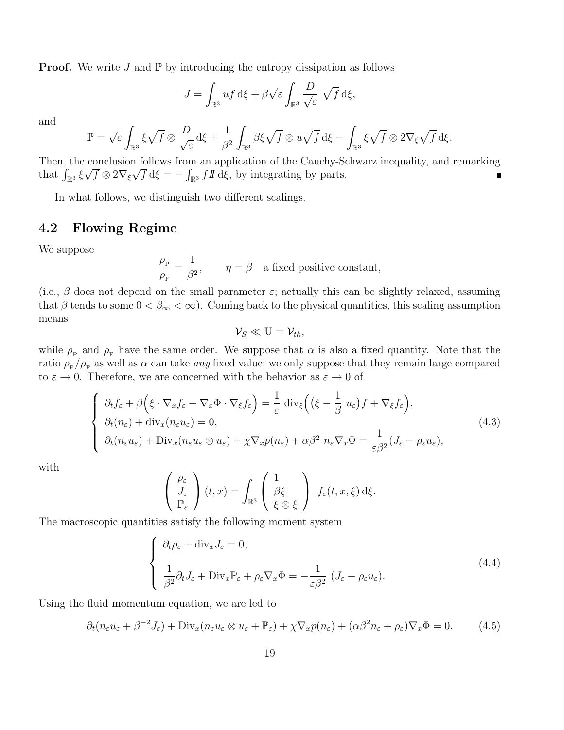**Proof.** We write J and  $\mathbb{P}$  by introducing the entropy dissipation as follows

$$
J = \int_{\mathbb{R}^3} u f \, d\xi + \beta \sqrt{\varepsilon} \int_{\mathbb{R}^3} \frac{D}{\sqrt{\varepsilon}} \sqrt{f} \, d\xi,
$$

and

$$
\mathbb{P} = \sqrt{\varepsilon} \int_{\mathbb{R}^3} \xi \sqrt{f} \otimes \frac{D}{\sqrt{\varepsilon}} d\xi + \frac{1}{\beta^2} \int_{\mathbb{R}^3} \beta \xi \sqrt{f} \otimes u \sqrt{f} d\xi - \int_{\mathbb{R}^3} \xi \sqrt{f} \otimes 2\nabla_{\xi} \sqrt{f} d\xi.
$$

Then, the conclusion follows from an application of the Cauchy-Schwarz inequality, and remarking that  $\int_{\mathbb{R}^3} \xi \sqrt{f} \otimes 2\nabla_{\xi} \sqrt{f} d\xi = -\int_{\mathbb{R}^3} f \mathbf{I} d\xi$ , by integrating by parts.  $\blacksquare$ 

In what follows, we distinguish two different scalings.

## 4.2 Flowing Regime

We suppose

$$
\frac{\rho_{\rm p}}{\rho_{\rm F}} = \frac{1}{\beta^2}, \qquad \eta = \beta \quad \text{a fixed positive constant},
$$

(i.e.,  $\beta$  does not depend on the small parameter  $\varepsilon$ ; actually this can be slightly relaxed, assuming that  $\beta$  tends to some  $0 < \beta_{\infty} < \infty$ ). Coming back to the physical quantities, this scaling assumption means

$$
\mathcal{V}_S \ll U = \mathcal{V}_{th},
$$

while  $\rho_{\rm P}$  and  $\rho_{\rm F}$  have the same order. We suppose that  $\alpha$  is also a fixed quantity. Note that the ratio  $\rho_{\rm p}/\rho_{\rm F}$  as well as  $\alpha$  can take *any* fixed value; we only suppose that they remain large compared to  $\varepsilon \to 0$ . Therefore, we are concerned with the behavior as  $\varepsilon \to 0$  of

$$
\begin{cases}\n\partial_t f_{\varepsilon} + \beta \Big( \xi \cdot \nabla_x f_{\varepsilon} - \nabla_x \Phi \cdot \nabla_{\xi} f_{\varepsilon} \Big) = \frac{1}{\varepsilon} \operatorname{div}_{\xi} \Big( \big( \xi - \frac{1}{\beta} u_{\varepsilon} \big) f + \nabla_{\xi} f_{\varepsilon} \Big), \\
\partial_t (n_{\varepsilon}) + \operatorname{div}_x (n_{\varepsilon} u_{\varepsilon}) = 0, \\
\partial_t (n_{\varepsilon} u_{\varepsilon}) + \operatorname{Div}_x (n_{\varepsilon} u_{\varepsilon} \otimes u_{\varepsilon}) + \chi \nabla_x p(n_{\varepsilon}) + \alpha \beta^2 n_{\varepsilon} \nabla_x \Phi = \frac{1}{\varepsilon \beta^2} (J_{\varepsilon} - \rho_{\varepsilon} u_{\varepsilon}),\n\end{cases} (4.3)
$$

with

$$
\begin{pmatrix}\n\rho_{\varepsilon} \\
J_{\varepsilon} \\
\mathbb{P}_{\varepsilon}\n\end{pmatrix}(t,x) = \int_{\mathbb{R}^3} \begin{pmatrix}\n1 \\
\beta \xi \\
\xi \otimes \xi\n\end{pmatrix} f_{\varepsilon}(t,x,\xi) d\xi.
$$

The macroscopic quantities satisfy the following moment system

$$
\begin{cases}\n\partial_t \rho_{\varepsilon} + \text{div}_x J_{\varepsilon} = 0, \\
\frac{1}{\beta^2} \partial_t J_{\varepsilon} + \text{Div}_x \mathbb{P}_{\varepsilon} + \rho_{\varepsilon} \nabla_x \Phi = -\frac{1}{\varepsilon \beta^2} \left( J_{\varepsilon} - \rho_{\varepsilon} u_{\varepsilon} \right).\n\end{cases} (4.4)
$$

Using the fluid momentum equation, we are led to

$$
\partial_t (n_{\varepsilon} u_{\varepsilon} + \beta^{-2} J_{\varepsilon}) + \text{Div}_x (n_{\varepsilon} u_{\varepsilon} \otimes u_{\varepsilon} + \mathbb{P}_{\varepsilon}) + \chi \nabla_x p(n_{\varepsilon}) + (\alpha \beta^2 n_{\varepsilon} + \rho_{\varepsilon}) \nabla_x \Phi = 0. \tag{4.5}
$$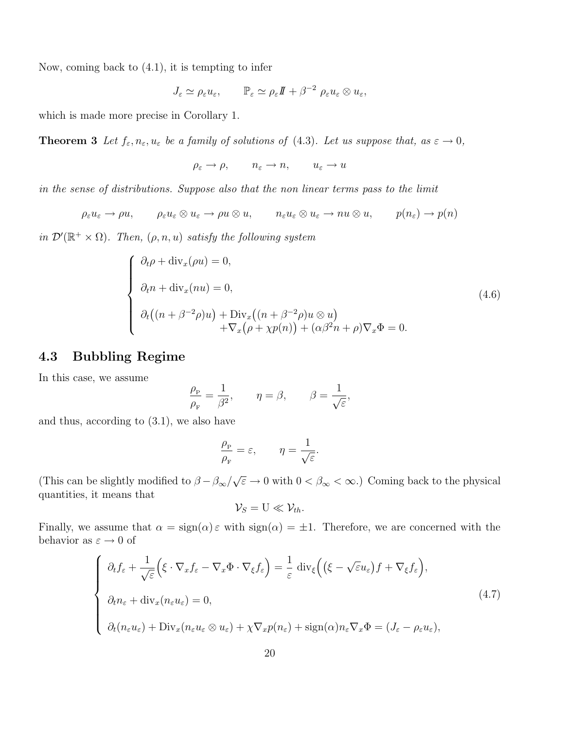Now, coming back to (4.1), it is tempting to infer

$$
J_{\varepsilon} \simeq \rho_{\varepsilon} u_{\varepsilon}, \qquad \mathbb{P}_{\varepsilon} \simeq \rho_{\varepsilon} I\!\!I + \beta^{-2} \rho_{\varepsilon} u_{\varepsilon} \otimes u_{\varepsilon},
$$

which is made more precise in Corollary 1.

**Theorem 3** Let  $f_{\varepsilon}, n_{\varepsilon}, u_{\varepsilon}$  be a family of solutions of (4.3). Let us suppose that, as  $\varepsilon \to 0$ ,

 $\rho_{\varepsilon} \to \rho, \qquad n_{\varepsilon} \to n, \qquad u_{\varepsilon} \to u$ 

in the sense of distributions. Suppose also that the non linear terms pass to the limit

 $\rho_{\varepsilon}u_{\varepsilon} \to \rho u, \qquad \rho_{\varepsilon}u_{\varepsilon} \otimes u_{\varepsilon} \to \rho u \otimes u, \qquad n_{\varepsilon}u_{\varepsilon} \otimes u_{\varepsilon} \to nu \otimes u, \qquad p(n_{\varepsilon}) \to p(n)$ 

in  $\mathcal{D}'(\mathbb{R}^+ \times \Omega)$ . Then,  $(\rho, n, u)$  satisfy the following system

$$
\begin{cases}\n\partial_t \rho + \text{div}_x(\rho u) = 0, \\
\partial_t n + \text{div}_x(nu) = 0, \\
\partial_t ((n + \beta^{-2}\rho)u) + \text{Div}_x((n + \beta^{-2}\rho)u \otimes u) \\
+ \nabla_x (\rho + \chi p(n)) + (\alpha \beta^2 n + \rho) \nabla_x \Phi = 0.\n\end{cases}
$$
\n(4.6)

## 4.3 Bubbling Regime

In this case, we assume

$$
\frac{\rho_{\rm P}}{\rho_{\rm F}} = \frac{1}{\beta^2}, \qquad \eta = \beta, \qquad \beta = \frac{1}{\sqrt{\varepsilon}},
$$

and thus, according to (3.1), we also have

$$
\frac{\rho_{\rm P}}{\rho_{\rm F}} = \varepsilon, \qquad \eta = \frac{1}{\sqrt{\varepsilon}}.
$$

(This can be slightly modified to  $\beta - \beta_{\infty}/\sqrt{\varepsilon} \to 0$  with  $0 < \beta_{\infty} < \infty$ .) Coming back to the physical quantities, it means that

$$
\mathcal{V}_S = \mathbf{U} \ll \mathcal{V}_{th}.
$$

Finally, we assume that  $\alpha = \text{sign}(\alpha) \varepsilon$  with  $\text{sign}(\alpha) = \pm 1$ . Therefore, we are concerned with the behavior as  $\varepsilon \to 0$  of

$$
\begin{cases}\n\partial_t f_{\varepsilon} + \frac{1}{\sqrt{\varepsilon}} \Big( \xi \cdot \nabla_x f_{\varepsilon} - \nabla_x \Phi \cdot \nabla_{\xi} f_{\varepsilon} \Big) = \frac{1}{\varepsilon} \operatorname{div}_{\xi} \Big( \big( \xi - \sqrt{\varepsilon} u_{\varepsilon} \big) f + \nabla_{\xi} f_{\varepsilon} \Big), \\
\partial_t n_{\varepsilon} + \operatorname{div}_x (n_{\varepsilon} u_{\varepsilon}) = 0, \\
\partial_t (n_{\varepsilon} u_{\varepsilon}) + \operatorname{Div}_x (n_{\varepsilon} u_{\varepsilon} \otimes u_{\varepsilon}) + \chi \nabla_x p(n_{\varepsilon}) + \operatorname{sign}(\alpha) n_{\varepsilon} \nabla_x \Phi = (J_{\varepsilon} - \rho_{\varepsilon} u_{\varepsilon}),\n\end{cases} \tag{4.7}
$$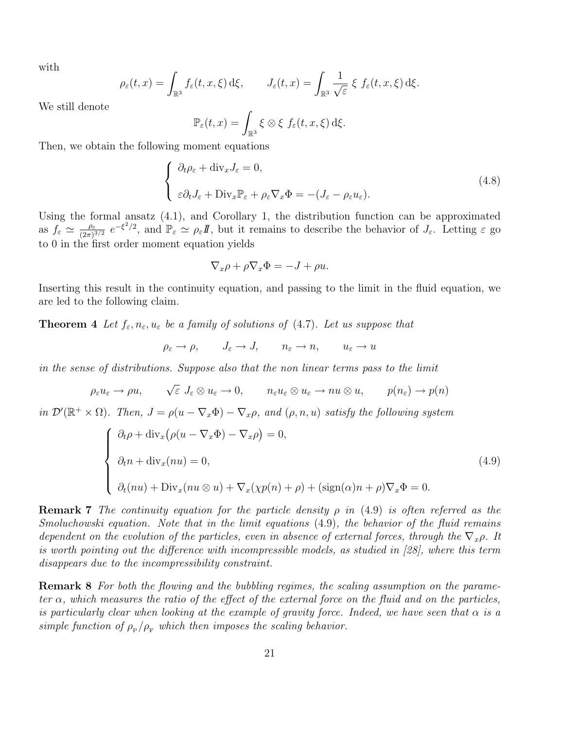with

$$
\rho_{\varepsilon}(t,x) = \int_{\mathbb{R}^3} f_{\varepsilon}(t,x,\xi) \,d\xi, \qquad J_{\varepsilon}(t,x) = \int_{\mathbb{R}^3} \frac{1}{\sqrt{\varepsilon}} \xi \, f_{\varepsilon}(t,x,\xi) \,d\xi.
$$

We still denote

$$
\mathbb{P}_{\varepsilon}(t,x) = \int_{\mathbb{R}^3} \xi \otimes \xi \, f_{\varepsilon}(t,x,\xi) \,d\xi.
$$

Then, we obtain the following moment equations

$$
\begin{cases} \partial_t \rho_{\varepsilon} + \text{div}_x J_{\varepsilon} = 0, \\ \varepsilon \partial_t J_{\varepsilon} + \text{Div}_x \mathbb{P}_{\varepsilon} + \rho_{\varepsilon} \nabla_x \Phi = -(J_{\varepsilon} - \rho_{\varepsilon} u_{\varepsilon}). \end{cases} (4.8)
$$

Using the formal ansatz (4.1), and Corollary 1, the distribution function can be approximated as  $f_{\varepsilon} \simeq \frac{\rho_{\varepsilon}}{(2\pi)^3}$  $\frac{\rho_{\varepsilon}}{(2\pi)^{3/2}} e^{-\xi^2/2}$ , and  $\mathbb{P}_{\varepsilon} \simeq \rho_{\varepsilon}I\!I$ , but it remains to describe the behavior of  $J_{\varepsilon}$ . Letting  $\varepsilon$  go to 0 in the first order moment equation yields

$$
\nabla_x \rho + \rho \nabla_x \Phi = -J + \rho u.
$$

Inserting this result in the continuity equation, and passing to the limit in the fluid equation, we are led to the following claim.

**Theorem 4** Let  $f_{\varepsilon}, n_{\varepsilon}, u_{\varepsilon}$  be a family of solutions of (4.7). Let us suppose that

$$
\rho_{\varepsilon} \to \rho, \qquad J_{\varepsilon} \to J, \qquad n_{\varepsilon} \to n, \qquad u_{\varepsilon} \to u
$$

in the sense of distributions. Suppose also that the non linear terms pass to the limit

$$
\rho_{\varepsilon} u_{\varepsilon} \to \rho u, \qquad \sqrt{\varepsilon} \, J_{\varepsilon} \otimes u_{\varepsilon} \to 0, \qquad n_{\varepsilon} u_{\varepsilon} \otimes u_{\varepsilon} \to nu \otimes u, \qquad p(n_{\varepsilon}) \to p(n)
$$

in  $\mathcal{D}'(\mathbb{R}^+\times\Omega)$ . Then,  $J=\rho(u-\nabla_x\Phi)-\nabla_x\rho$ , and  $(\rho,n,u)$  satisfy the following system

$$
\begin{cases}\n\partial_t \rho + \operatorname{div}_x \left( \rho(u - \nabla_x \Phi) - \nabla_x \rho \right) = 0, \\
\partial_t n + \operatorname{div}_x(nu) = 0, \\
\partial_t (nu) + \operatorname{Div}_x(nu \otimes u) + \nabla_x(\chi p(n) + \rho) + (\operatorname{sign}(\alpha)n + \rho) \nabla_x \Phi = 0.\n\end{cases}
$$
\n(4.9)

**Remark 7** The continuity equation for the particle density  $\rho$  in (4.9) is often referred as the Smoluchowski equation. Note that in the limit equations (4.9), the behavior of the fluid remains dependent on the evolution of the particles, even in absence of external forces, through the  $\nabla_x \rho$ . It is worth pointing out the difference with incompressible models, as studied in [28], where this term disappears due to the incompressibility constraint.

Remark 8 For both the flowing and the bubbling regimes, the scaling assumption on the parameter  $\alpha$ , which measures the ratio of the effect of the external force on the fluid and on the particles, is particularly clear when looking at the example of gravity force. Indeed, we have seen that  $\alpha$  is a simple function of  $\rho_{\rm p}/\rho_{\rm F}$  which then imposes the scaling behavior.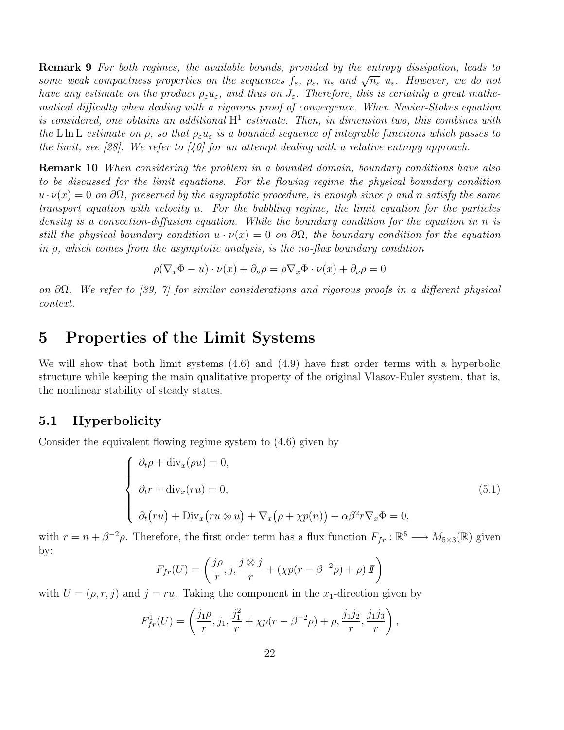Remark 9 For both regimes, the available bounds, provided by the entropy dissipation, leads to some weak compactness properties on the sequences  $f_{\varepsilon}$ ,  $\rho_{\varepsilon}$ ,  $n_{\varepsilon}$  and  $\sqrt{n_{\varepsilon}} u_{\varepsilon}$ . However, we do not have any estimate on the product  $\rho_{\varepsilon}u_{\varepsilon}$ , and thus on  $J_{\varepsilon}$ . Therefore, this is certainly a great mathematical difficulty when dealing with a rigorous proof of convergence. When Navier-Stokes equation is considered, one obtains an additional  $H^1$  estimate. Then, in dimension two, this combines with the L ln L estimate on  $\rho$ , so that  $\rho_{\varepsilon}u_{\varepsilon}$  is a bounded sequence of integrable functions which passes to the limit, see [28]. We refer to [40] for an attempt dealing with a relative entropy approach.

Remark 10 When considering the problem in a bounded domain, boundary conditions have also to be discussed for the limit equations. For the flowing regime the physical boundary condition  $u \cdot \nu(x) = 0$  on  $\partial \Omega$ , preserved by the asymptotic procedure, is enough since  $\rho$  and n satisfy the same transport equation with velocity u. For the bubbling regime, the limit equation for the particles density is a convection-diffusion equation. While the boundary condition for the equation in n is still the physical boundary condition  $u \cdot \nu(x) = 0$  on  $\partial\Omega$ , the boundary condition for the equation in  $\rho$ , which comes from the asymptotic analysis, is the no-flux boundary condition

$$
\rho(\nabla_x \Phi - u) \cdot \nu(x) + \partial_\nu \rho = \rho \nabla_x \Phi \cdot \nu(x) + \partial_\nu \rho = 0
$$

on  $\partial\Omega$ . We refer to [39, 7] for similar considerations and rigorous proofs in a different physical context.

## 5 Properties of the Limit Systems

We will show that both limit systems (4.6) and (4.9) have first order terms with a hyperbolic structure while keeping the main qualitative property of the original Vlasov-Euler system, that is, the nonlinear stability of steady states.

## 5.1 Hyperbolicity

Consider the equivalent flowing regime system to (4.6) given by

$$
\begin{cases}\n\partial_t \rho + \text{div}_x(\rho u) = 0, \\
\partial_t r + \text{div}_x(ru) = 0, \\
\partial_t (ru) + \text{Div}_x(ru \otimes u) + \nabla_x (\rho + \chi p(n)) + \alpha \beta^2 r \nabla_x \Phi = 0,\n\end{cases}
$$
\n(5.1)

with  $r = n + \beta^{-2}\rho$ . Therefore, the first order term has a flux function  $F_{fr}: \mathbb{R}^5 \longrightarrow M_{5\times 3}(\mathbb{R})$  given by:

$$
F_{fr}(U) = \left(\frac{j\rho}{r}, j, \frac{j \otimes j}{r} + (\chi p(r - \beta^{-2}\rho) + \rho) \mathbf{I}\right)
$$

with  $U = (\rho, r, j)$  and  $j = ru$ . Taking the component in the  $x_1$ -direction given by

$$
F_{fr}^1(U) = \left(\frac{j_1 \rho}{r}, j_1, \frac{j_1^2}{r} + \chi p(r - \beta^{-2}\rho) + \rho, \frac{j_1 j_2}{r}, \frac{j_1 j_3}{r}\right),\,
$$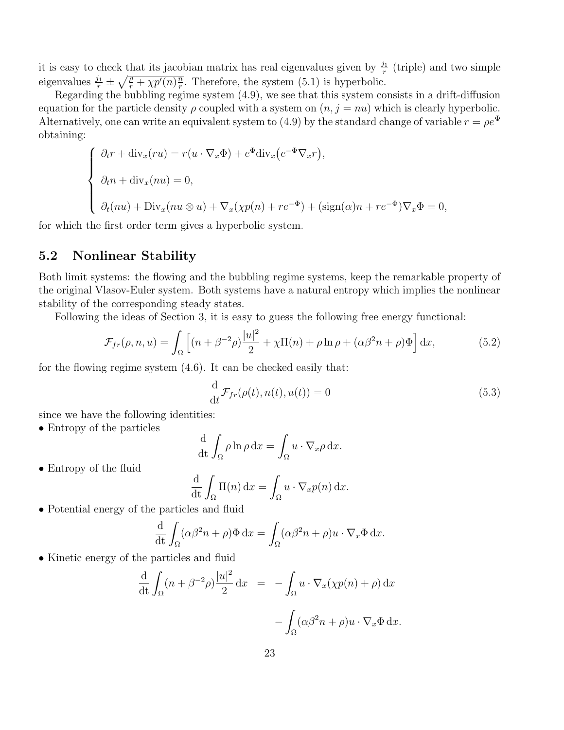it is easy to check that its jacobian matrix has real eigenvalues given by  $\frac{j_1}{r}$  $\frac{n}{r}$  (triple) and two simple eigenvalues  $\frac{j_1}{r} \pm \sqrt{\frac{\rho}{r} + \chi p'(n) \frac{n}{r}}$  $\frac{n}{r}$ . Therefore, the system (5.1) is hyperbolic.

Regarding the bubbling regime system (4.9), we see that this system consists in a drift-diffusion equation for the particle density  $\rho$  coupled with a system on  $(n, j = nu)$  which is clearly hyperbolic. Alternatively, one can write an equivalent system to (4.9) by the standard change of variable  $r = \rho e^{\Phi}$ obtaining:

$$
\begin{cases}\n\partial_t r + \operatorname{div}_x (ru) = r(u \cdot \nabla_x \Phi) + e^{\Phi} \operatorname{div}_x (e^{-\Phi} \nabla_x r), \\
\partial_t n + \operatorname{div}_x (nu) = 0, \\
\partial_t (nu) + \operatorname{Div}_x (nu \otimes u) + \nabla_x (\chi p(n) + r e^{-\Phi}) + (\operatorname{sign}(\alpha) n + r e^{-\Phi}) \nabla_x \Phi = 0,\n\end{cases}
$$

for which the first order term gives a hyperbolic system.

## 5.2 Nonlinear Stability

Both limit systems: the flowing and the bubbling regime systems, keep the remarkable property of the original Vlasov-Euler system. Both systems have a natural entropy which implies the nonlinear stability of the corresponding steady states.

Following the ideas of Section 3, it is easy to guess the following free energy functional:

$$
\mathcal{F}_{fr}(\rho, n, u) = \int_{\Omega} \left[ (n + \beta^{-2} \rho) \frac{|u|^2}{2} + \chi \Pi(n) + \rho \ln \rho + (\alpha \beta^2 n + \rho) \Phi \right] dx, \tag{5.2}
$$

for the flowing regime system (4.6). It can be checked easily that:

$$
\frac{\mathrm{d}}{\mathrm{d}t} \mathcal{F}_{fr}(\rho(t), n(t), u(t)) = 0 \tag{5.3}
$$

since we have the following identities:

• Entropy of the particles

$$
\frac{\mathrm{d}}{\mathrm{d}t} \int_{\Omega} \rho \ln \rho \, \mathrm{d}x = \int_{\Omega} u \cdot \nabla_x \rho \, \mathrm{d}x.
$$

• Entropy of the fluid

$$
\frac{\mathrm{d}}{\mathrm{d}t} \int_{\Omega} \Pi(n) \, \mathrm{d}x = \int_{\Omega} u \cdot \nabla_x p(n) \, \mathrm{d}x.
$$

• Potential energy of the particles and fluid

$$
\frac{\mathrm{d}}{\mathrm{d}t} \int_{\Omega} (\alpha \beta^2 n + \rho) \Phi \, \mathrm{d}x = \int_{\Omega} (\alpha \beta^2 n + \rho) u \cdot \nabla_x \Phi \, \mathrm{d}x.
$$

• Kinetic energy of the particles and fluid

$$
\frac{\mathrm{d}}{\mathrm{d}t} \int_{\Omega} (n + \beta^{-2} \rho) \frac{|u|^2}{2} dx = - \int_{\Omega} u \cdot \nabla_x (\chi p(n) + \rho) dx \n- \int_{\Omega} (\alpha \beta^2 n + \rho) u \cdot \nabla_x \Phi dx.
$$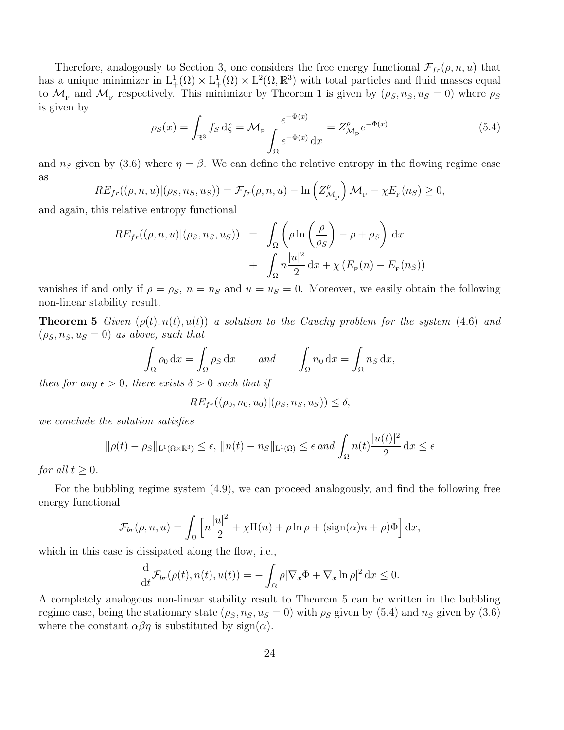Therefore, analogously to Section 3, one considers the free energy functional  $\mathcal{F}_{fr}(\rho, n, u)$  that has a unique minimizer in  $L^1_+(\Omega) \times L^1_+(\Omega) \times L^2(\Omega, \mathbb{R}^3)$  with total particles and fluid masses equal to  $\mathcal{M}_{P}$  and  $\mathcal{M}_{F}$  respectively. This minimizer by Theorem 1 is given by  $(\rho_S, n_S, u_S = 0)$  where  $\rho_S$ is given by

$$
\rho_S(x) = \int_{\mathbb{R}^3} f_S \, d\xi = \mathcal{M}_P \frac{e^{-\Phi(x)}}{\int_{\Omega} e^{-\Phi(x)} \, dx} = Z_{\mathcal{M}_P}^{\rho} e^{-\Phi(x)} \tag{5.4}
$$

and  $n<sub>S</sub>$  given by (3.6) where  $\eta = \beta$ . We can define the relative entropy in the flowing regime case as

$$
RE_{fr}((\rho, n, u)|(\rho_S, n_S, u_S)) = \mathcal{F}_{fr}(\rho, n, u) - \ln\left(Z_{\mathcal{M}_{\mathcal{P}}}^{\rho}\right) \mathcal{M}_{\mathcal{P}} - \chi E_{\mathcal{F}}(n_S) \ge 0,
$$

and again, this relative entropy functional

$$
RE_{fr}((\rho, n, u) | (\rho_S, n_S, u_S)) = \int_{\Omega} \left( \rho \ln \left( \frac{\rho}{\rho_S} \right) - \rho + \rho_S \right) dx
$$

$$
+ \int_{\Omega} n \frac{|u|^2}{2} dx + \chi \left( E_{F}(n) - E_{F}(n_S) \right)
$$

vanishes if and only if  $\rho = \rho_S$ ,  $n = n_S$  and  $u = u_S = 0$ . Moreover, we easily obtain the following non-linear stability result.

**Theorem 5** Given  $(\rho(t), n(t), u(t))$  a solution to the Cauchy problem for the system (4.6) and  $(\rho_S, n_S, u_S = 0)$  as above, such that

$$
\int_{\Omega} \rho_0 \, dx = \int_{\Omega} \rho_S \, dx \quad \text{and} \quad \int_{\Omega} n_0 \, dx = \int_{\Omega} n_S \, dx,
$$

then for any  $\epsilon > 0$ , there exists  $\delta > 0$  such that if

$$
RE_{fr}((\rho_0, n_0, u_0) | (\rho_S, n_S, u_S)) \le \delta,
$$

we conclude the solution satisfies

$$
\|\rho(t) - \rho_S\|_{\mathcal{L}^1(\Omega \times \mathbb{R}^3)} \le \epsilon, \|n(t) - n_S\|_{\mathcal{L}^1(\Omega)} \le \epsilon \text{ and } \int_{\Omega} n(t) \frac{|u(t)|^2}{2} dx \le \epsilon
$$

for all  $t \geq 0$ .

For the bubbling regime system (4.9), we can proceed analogously, and find the following free energy functional

$$
\mathcal{F}_{br}(\rho, n, u) = \int_{\Omega} \left[ n \frac{|u|^2}{2} + \chi \Pi(n) + \rho \ln \rho + (\text{sign}(\alpha)n + \rho) \Phi \right] dx,
$$

which in this case is dissipated along the flow, i.e.,

$$
\frac{\mathrm{d}}{\mathrm{d}t} \mathcal{F}_{br}(\rho(t), n(t), u(t)) = -\int_{\Omega} \rho |\nabla_x \Phi + \nabla_x \ln \rho|^2 \, \mathrm{d}x \le 0.
$$

A completely analogous non-linear stability result to Theorem 5 can be written in the bubbling regime case, being the stationary state  $(\rho_S, n_S, u_S = 0)$  with  $\rho_S$  given by (5.4) and  $n_S$  given by (3.6) where the constant  $\alpha\beta\eta$  is substituted by sign( $\alpha$ ).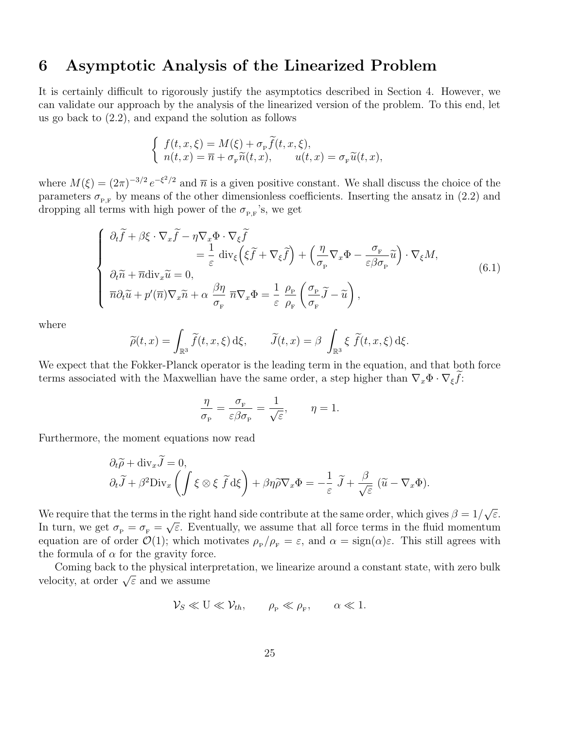## 6 Asymptotic Analysis of the Linearized Problem

It is certainly difficult to rigorously justify the asymptotics described in Section 4. However, we can validate our approach by the analysis of the linearized version of the problem. To this end, let us go back to (2.2), and expand the solution as follows

$$
\begin{cases}\nf(t, x, \xi) = M(\xi) + \sigma_{\mathbf{P}} \widetilde{f}(t, x, \xi), \\
n(t, x) = \overline{n} + \sigma_{\mathbf{P}} \widetilde{n}(t, x), \qquad u(t, x) = \sigma_{\mathbf{P}} \widetilde{u}(t, x),\n\end{cases}
$$

where  $M(\xi) = (2\pi)^{-3/2} e^{-\xi^2/2}$  and  $\overline{n}$  is a given positive constant. We shall discuss the choice of the parameters  $\sigma_{P,F}$  by means of the other dimensionless coefficients. Inserting the ansatz in (2.2) and dropping all terms with high power of the  $\sigma_{P,F}$ 's, we get

$$
\begin{cases}\n\partial_t \widetilde{f} + \beta \xi \cdot \nabla_x \widetilde{f} - \eta \nabla_x \Phi \cdot \nabla_{\xi} \widetilde{f} \\
= \frac{1}{\varepsilon} \operatorname{div}_{\xi} \left( \xi \widetilde{f} + \nabla_{\xi} \widetilde{f} \right) + \left( \frac{\eta}{\sigma_{\rm p}} \nabla_x \Phi - \frac{\sigma_{\rm r}}{\varepsilon \beta \sigma_{\rm p}} \widetilde{u} \right) \cdot \nabla_{\xi} M, \\
\partial_t \widetilde{n} + \overline{n} \operatorname{div}_x \widetilde{u} = 0, \\
\overline{n} \partial_t \widetilde{u} + p'(\overline{n}) \nabla_x \widetilde{n} + \alpha \frac{\beta \eta}{\sigma_{\rm r}} \overline{n} \nabla_x \Phi = \frac{1}{\varepsilon} \frac{\rho_{\rm p}}{\rho_{\rm r}} \left( \frac{\sigma_{\rm p}}{\sigma_{\rm r}} \widetilde{f} - \widetilde{u} \right),\n\end{cases} \tag{6.1}
$$

where

$$
\widetilde{\rho}(t,x) = \int_{\mathbb{R}^3} \widetilde{f}(t,x,\xi) \,d\xi, \qquad \widetilde{J}(t,x) = \beta \int_{\mathbb{R}^3} \xi \widetilde{f}(t,x,\xi) \,d\xi.
$$

We expect that the Fokker-Planck operator is the leading term in the equation, and that both force terms associated with the Maxwellian have the same order, a step higher than  $\nabla_x \Phi \cdot \nabla_{\xi} \tilde{f}$ :

$$
\frac{\eta}{\sigma_{\rm\scriptscriptstyle P}} = \frac{\sigma_{\rm\scriptscriptstyle F}}{\varepsilon\beta\sigma_{\rm\scriptscriptstyle P}} = \frac{1}{\sqrt{\varepsilon}}, \qquad \eta = 1.
$$

Furthermore, the moment equations now read

$$
\partial_t \widetilde{\rho} + \text{div}_x J = 0,
$$
  

$$
\partial_t \widetilde{J} + \beta^2 \text{Div}_x \left( \int \xi \otimes \xi \widetilde{f} d\xi \right) + \beta \eta \widetilde{\rho} \nabla_x \Phi = -\frac{1}{\varepsilon} \widetilde{J} + \frac{\beta}{\sqrt{\varepsilon}} (\widetilde{u} - \nabla_x \Phi).
$$

We require that the terms in the right hand side contribute at the same order, which gives  $\beta = 1/\sqrt{\varepsilon}$ . In turn, we get  $\sigma_{\rm p} = \sigma_{\rm F} = \sqrt{\varepsilon}$ . Eventually, we assume that all force terms in the fluid momentum equation are of order  $\mathcal{O}(1)$ ; which motivates  $\rho_{\rm p}/\rho_{\rm F} = \varepsilon$ , and  $\alpha = \text{sign}(\alpha)\varepsilon$ . This still agrees with the formula of  $\alpha$  for the gravity force.

Coming back to the physical interpretation, we linearize around a constant state, with zero bulk velocity, at order  $\sqrt{\varepsilon}$  and we assume

$$
\mathcal{V}_S \ll U \ll \mathcal{V}_{th}, \qquad \rho_P \ll \rho_F, \qquad \alpha \ll 1.
$$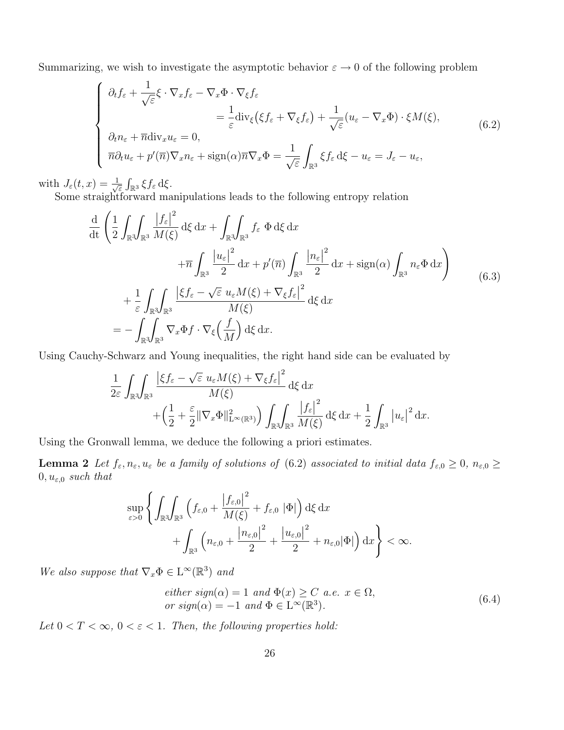Summarizing, we wish to investigate the asymptotic behavior  $\varepsilon \to 0$  of the following problem

$$
\begin{cases}\n\partial_t f_{\varepsilon} + \frac{1}{\sqrt{\varepsilon}} \xi \cdot \nabla_x f_{\varepsilon} - \nabla_x \Phi \cdot \nabla_{\xi} f_{\varepsilon} \\
= \frac{1}{\varepsilon} \text{div}_{\xi} (\xi f_{\varepsilon} + \nabla_{\xi} f_{\varepsilon}) + \frac{1}{\sqrt{\varepsilon}} (u_{\varepsilon} - \nabla_x \Phi) \cdot \xi M(\xi), \\
\partial_t n_{\varepsilon} + \overline{n} \text{div}_x u_{\varepsilon} = 0, \\
\overline{n} \partial_t u_{\varepsilon} + p'(\overline{n}) \nabla_x n_{\varepsilon} + \text{sign}(\alpha) \overline{n} \nabla_x \Phi = \frac{1}{\sqrt{\varepsilon}} \int_{\mathbb{R}^3} \xi f_{\varepsilon} d\xi - u_{\varepsilon} = J_{\varepsilon} - u_{\varepsilon},\n\end{cases} \tag{6.2}
$$

with  $J_{\varepsilon}(t,x) = \frac{1}{\sqrt{2}}$  $\frac{1}{\varepsilon} \int_{\mathbb{R}^3} \xi f_{\varepsilon} \, \mathrm{d}\xi.$ 

Some straightforward manipulations leads to the following entropy relation

$$
\frac{\mathrm{d}}{\mathrm{d}t} \left( \frac{1}{2} \int_{\mathbb{R}^3} \int_{\mathbb{R}^3} \frac{|f_{\varepsilon}|^2}{M(\xi)} \, \mathrm{d}\xi \, \mathrm{d}x + \int_{\mathbb{R}^3} \int_{\mathbb{R}^3} f_{\varepsilon} \, \Phi \, \mathrm{d}\xi \, \mathrm{d}x \n+ \overline{n} \int_{\mathbb{R}^3} \frac{|u_{\varepsilon}|^2}{2} \, \mathrm{d}x + p'(\overline{n}) \int_{\mathbb{R}^3} \frac{|n_{\varepsilon}|^2}{2} \, \mathrm{d}x + \text{sign}(\alpha) \int_{\mathbb{R}^3} n_{\varepsilon} \Phi \, \mathrm{d}x \right) \n+ \frac{1}{\varepsilon} \int_{\mathbb{R}^3} \int_{\mathbb{R}^3} \frac{|\xi f_{\varepsilon} - \sqrt{\varepsilon} u_{\varepsilon} M(\xi) + \nabla_{\xi} f_{\varepsilon}|^2}{M(\xi)} \, \mathrm{d}\xi \, \mathrm{d}x \n= - \int_{\mathbb{R}^3} \int_{\mathbb{R}^3} \nabla_x \Phi f \cdot \nabla_{\xi} \left( \frac{f}{M} \right) \mathrm{d}\xi \, \mathrm{d}x.
$$
\n(6.3)

Using Cauchy-Schwarz and Young inequalities, the right hand side can be evaluated by

$$
\frac{1}{2\varepsilon} \int_{\mathbb{R}^3} \int_{\mathbb{R}^3} \frac{\left|\xi f_{\varepsilon} - \sqrt{\varepsilon} u_{\varepsilon} M(\xi) + \nabla_{\xi} f_{\varepsilon}\right|^2}{M(\xi)} d\xi dx \n+ \left(\frac{1}{2} + \frac{\varepsilon}{2} \|\nabla_x \Phi\|_{\mathcal{L}^{\infty}(\mathbb{R}^3)}^2\right) \int_{\mathbb{R}^3} \int_{\mathbb{R}^3} \frac{\left|f_{\varepsilon}\right|^2}{M(\xi)} d\xi dx + \frac{1}{2} \int_{\mathbb{R}^3} \left|u_{\varepsilon}\right|^2 dx.
$$

Using the Gronwall lemma, we deduce the following a priori estimates.

**Lemma 2** Let  $f_{\varepsilon}, n_{\varepsilon}, u_{\varepsilon}$  be a family of solutions of (6.2) associated to initial data  $f_{\varepsilon,0} \ge 0$ ,  $n_{\varepsilon,0} \ge 0$  $0, u_{\varepsilon,0}$  such that

$$
\sup_{\varepsilon>0} \left\{ \int_{\mathbb{R}^3} \int_{\mathbb{R}^3} \left( f_{\varepsilon,0} + \frac{|f_{\varepsilon,0}|^2}{M(\xi)} + f_{\varepsilon,0} | \Phi| \right) d\xi \, dx + \int_{\mathbb{R}^3} \left( n_{\varepsilon,0} + \frac{|n_{\varepsilon,0}|^2}{2} + \frac{|u_{\varepsilon,0}|^2}{2} + n_{\varepsilon,0} | \Phi| \right) dx \right\} < \infty.
$$

We also suppose that  $\nabla_x \Phi \in L^{\infty}(\mathbb{R}^3)$  and

$$
either sign(\alpha) = 1 and \Phi(x) \ge C a.e. x \in \Omega,
$$
  
or sign(\alpha) = -1 and  $\Phi \in L^{\infty}(\mathbb{R}^{3}).$  (6.4)

Let  $0 < T < \infty$ ,  $0 < \varepsilon < 1$ . Then, the following properties hold: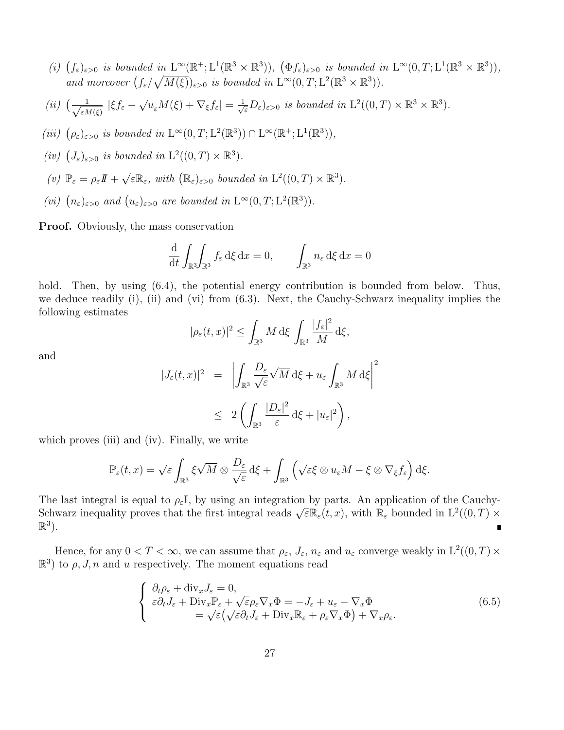- (i)  $(f_{\varepsilon})_{\varepsilon>0}$  is bounded in  $L^{\infty}(\mathbb{R}^+;\mathcal{L}^1(\mathbb{R}^3\times\mathbb{R}^3))$ ,  $(\Phi f_{\varepsilon})_{\varepsilon>0}$  is bounded in  $L^{\infty}(0,T;\mathcal{L}^1(\mathbb{R}^3\times\mathbb{R}^3))$ , and moreover  $(f_{\varepsilon}/\sqrt{M(\xi)})_{\varepsilon>0}$  is bounded in  $L^{\infty}(0,T;L^{2}(\mathbb{R}^{3}\times\mathbb{R}^{3}))$ .
- $(ii)$   $\left(\frac{1}{\sqrt{\varepsilon\lambda}}\right)$  $\frac{1}{\varepsilon M(\xi)} |\xi f_{\varepsilon} - \sqrt{u_{\varepsilon}} M(\xi) + \nabla_{\xi} f_{\varepsilon}| = \frac{1}{\sqrt{\varepsilon}} D_{\varepsilon} \varepsilon_{\varepsilon,0}$  is bounded in  $\mathrm{L}^2((0,T) \times \mathbb{R}^3 \times \mathbb{R}^3)$ .
- (iii)  $(\rho_{\varepsilon})_{\varepsilon>0}$  is bounded in  $L^{\infty}(0,T;L^{2}(\mathbb{R}^{3})) \cap L^{\infty}(\mathbb{R}^{+};L^{1}(\mathbb{R}^{3})),$
- (iv)  $(J_{\varepsilon})_{\varepsilon>0}$  is bounded in  $\mathrm{L}^2((0,T)\times\mathbb{R}^3)$ .
- (v)  $\mathbb{P}_{\varepsilon} = \rho_{\varepsilon}I\!I + \sqrt{\varepsilon} \mathbb{R}_{\varepsilon}$ , with  $(\mathbb{R}_{\varepsilon})_{\varepsilon > 0}$  bounded in  $\mathrm{L}^2((0,T) \times \mathbb{R}^3)$ .
- (vi)  $(n_{\varepsilon})_{\varepsilon>0}$  and  $(u_{\varepsilon})_{\varepsilon>0}$  are bounded in  $L^{\infty}(0,T;L^{2}(\mathbb{R}^{3}))$ .

Proof. Obviously, the mass conservation

$$
\frac{\mathrm{d}}{\mathrm{d}t} \int_{\mathbb{R}^3} \int_{\mathbb{R}^3} f_{\varepsilon} \, \mathrm{d}\xi \, \mathrm{d}x = 0, \qquad \int_{\mathbb{R}^3} n_{\varepsilon} \, \mathrm{d}\xi \, \mathrm{d}x = 0
$$

hold. Then, by using  $(6.4)$ , the potential energy contribution is bounded from below. Thus, we deduce readily (i), (ii) and (vi) from (6.3). Next, the Cauchy-Schwarz inequality implies the following estimates

$$
|\rho_{\varepsilon}(t,x)|^2 \leq \int_{\mathbb{R}^3} M \,d\xi \int_{\mathbb{R}^3} \frac{|f_{\varepsilon}|^2}{M} \,d\xi,
$$

and

$$
|J_{\varepsilon}(t,x)|^2 = \left| \int_{\mathbb{R}^3} \frac{D_{\varepsilon}}{\sqrt{\varepsilon}} \sqrt{M} \, d\xi + u_{\varepsilon} \int_{\mathbb{R}^3} M \, d\xi \right|^2
$$
  

$$
\leq 2 \left( \int_{\mathbb{R}^3} \frac{|D_{\varepsilon}|^2}{\varepsilon} \, d\xi + |u_{\varepsilon}|^2 \right),
$$

which proves (iii) and (iv). Finally, we write

$$
\mathbb{P}_{\varepsilon}(t,x) = \sqrt{\varepsilon} \int_{\mathbb{R}^3} \xi \sqrt{M} \otimes \frac{D_{\varepsilon}}{\sqrt{\varepsilon}} d\xi + \int_{\mathbb{R}^3} \left( \sqrt{\varepsilon} \xi \otimes u_{\varepsilon} M - \xi \otimes \nabla_{\xi} f_{\varepsilon} \right) d\xi.
$$

The last integral is equal to  $\rho_{\varepsilon}\mathbb{I}$ , by using an integration by parts. An application of the Cauchy-Schwarz inequality proves that the first integral reads  $\sqrt{\varepsilon} \mathbb{R}_{\varepsilon}(t,x)$ , with  $\mathbb{R}_{\varepsilon}$  bounded in  $L^2((0,T) \times$  $\mathbb{R}^3$ ).

Hence, for any  $0 < T < \infty$ , we can assume that  $\rho_{\varepsilon}$ ,  $J_{\varepsilon}$ ,  $n_{\varepsilon}$  and  $u_{\varepsilon}$  converge weakly in  $L^2((0,T) \times$  $\mathbb{R}^3$  to  $\rho$ , J, n and u respectively. The moment equations read

$$
\begin{cases}\n\partial_t \rho_{\varepsilon} + \text{div}_x J_{\varepsilon} = 0, \\
\varepsilon \partial_t J_{\varepsilon} + \text{Div}_x \mathbb{P}_{\varepsilon} + \sqrt{\varepsilon} \rho_{\varepsilon} \nabla_x \Phi = -J_{\varepsilon} + u_{\varepsilon} - \nabla_x \Phi \\
= \sqrt{\varepsilon} \left( \sqrt{\varepsilon} \partial_t J_{\varepsilon} + \text{Div}_x \mathbb{R}_{\varepsilon} + \rho_{\varepsilon} \nabla_x \Phi \right) + \nabla_x \rho_{\varepsilon}.\n\end{cases} \tag{6.5}
$$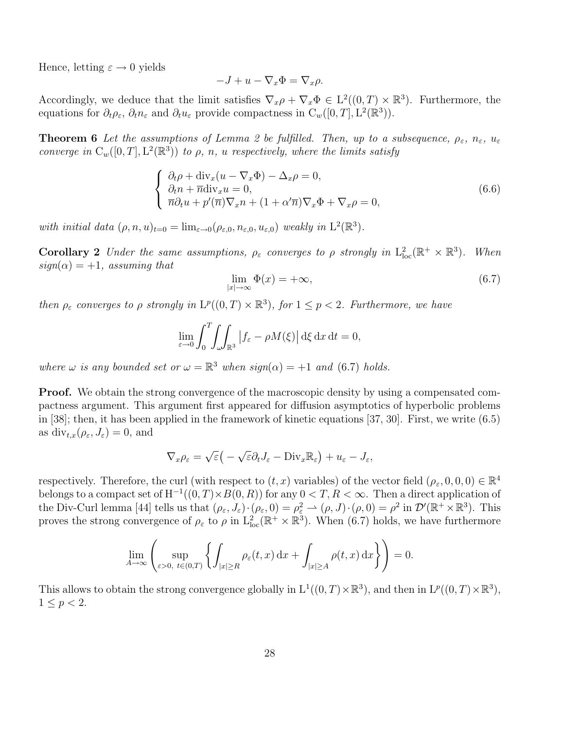Hence, letting  $\varepsilon \to 0$  yields

$$
-J + u - \nabla_x \Phi = \nabla_x \rho.
$$

Accordingly, we deduce that the limit satisfies  $\nabla_x \rho + \nabla_x \Phi \in L^2((0,T) \times \mathbb{R}^3)$ . Furthermore, the equations for  $\partial_t \rho_{\varepsilon}$ ,  $\partial_t n_{\varepsilon}$  and  $\partial_t u_{\varepsilon}$  provide compactness in  $C_w([0,T], L^2(\mathbb{R}^3))$ .

**Theorem 6** Let the assumptions of Lemma 2 be fulfilled. Then, up to a subsequence,  $\rho_{\varepsilon}$ ,  $n_{\varepsilon}$ ,  $u_{\varepsilon}$ converge in  $C_w([0,T], L^2(\mathbb{R}^3))$  to  $\rho$ , n, u respectively, where the limits satisfy

$$
\begin{cases}\n\partial_t \rho + \text{div}_x (u - \nabla_x \Phi) - \Delta_x \rho = 0, \\
\partial_t n + \overline{n} \text{div}_x u = 0, \\
\overline{n} \partial_t u + p'(\overline{n}) \nabla_x n + (1 + \alpha' \overline{n}) \nabla_x \Phi + \nabla_x \rho = 0,\n\end{cases}
$$
\n(6.6)

with initial data  $(\rho, n, u)_{t=0} = \lim_{\varepsilon \to 0} (\rho_{\varepsilon, 0}, n_{\varepsilon, 0}, u_{\varepsilon, 0})$  weakly in  $\mathcal{L}^2(\mathbb{R}^3)$ .

**Corollary 2** Under the same assumptions,  $\rho_{\varepsilon}$  converges to  $\rho$  strongly in  $L^2_{loc}(\mathbb{R}^+ \times \mathbb{R}^3)$ . When  $sign(\alpha) = +1$ , assuming that

$$
\lim_{|x| \to \infty} \Phi(x) = +\infty,\tag{6.7}
$$

then  $\rho_{\varepsilon}$  converges to  $\rho$  strongly in  $L^p((0,T) \times \mathbb{R}^3)$ , for  $1 \leq p < 2$ . Furthermore, we have

$$
\lim_{\varepsilon \to 0} \int_0^T \!\! \int_{\omega} \!\! \int_{\mathbb{R}^3} \left| f_{\varepsilon} - \rho M(\xi) \right| d\xi \, \mathrm{d}x \, \mathrm{d}t = 0,
$$

where  $\omega$  is any bounded set or  $\omega = \mathbb{R}^3$  when  $sign(\alpha) = +1$  and (6.7) holds.

**Proof.** We obtain the strong convergence of the macroscopic density by using a compensated compactness argument. This argument first appeared for diffusion asymptotics of hyperbolic problems in [38]; then, it has been applied in the framework of kinetic equations [37, 30]. First, we write (6.5) as  $\text{div}_{t,x}(\rho_{\varepsilon}, J_{\varepsilon}) = 0$ , and

$$
\nabla_x \rho_{\varepsilon} = \sqrt{\varepsilon} \big( - \sqrt{\varepsilon} \partial_t J_{\varepsilon} - \text{Div}_x \mathbb{R}_{\varepsilon} \big) + u_{\varepsilon} - J_{\varepsilon},
$$

respectively. Therefore, the curl (with respect to  $(t, x)$  variables) of the vector field  $(\rho_{\varepsilon}, 0, 0, 0) \in \mathbb{R}^4$ belongs to a compact set of  $H^{-1}((0,T) \times B(0,R))$  for any  $0 < T, R < \infty$ . Then a direct application of the Div-Curl lemma [44] tells us that  $(\rho_{\varepsilon}, J_{\varepsilon}) \cdot (\rho_{\varepsilon}, 0) = \rho_{\varepsilon}^2 \to (\rho, J) \cdot (\rho, 0) = \rho^2$  in  $\mathcal{D}'(\mathbb{R}^+ \times \mathbb{R}^3)$ . This proves the strong convergence of  $\rho_{\varepsilon}$  to  $\rho$  in  $L^2_{loc}(\mathbb{R}^+ \times \mathbb{R}^3)$ . When (6.7) holds, we have furthermore

$$
\lim_{A \to \infty} \left( \sup_{\varepsilon > 0, t \in (0,T)} \left\{ \int_{|x| \ge R} \rho_{\varepsilon}(t,x) \, dx + \int_{|x| \ge A} \rho(t,x) \, dx \right\} \right) = 0.
$$

This allows to obtain the strong convergence globally in  $L^1((0,T)\times\mathbb{R}^3)$ , and then in  $L^p((0,T)\times\mathbb{R}^3)$ ,  $1 \le p < 2$ .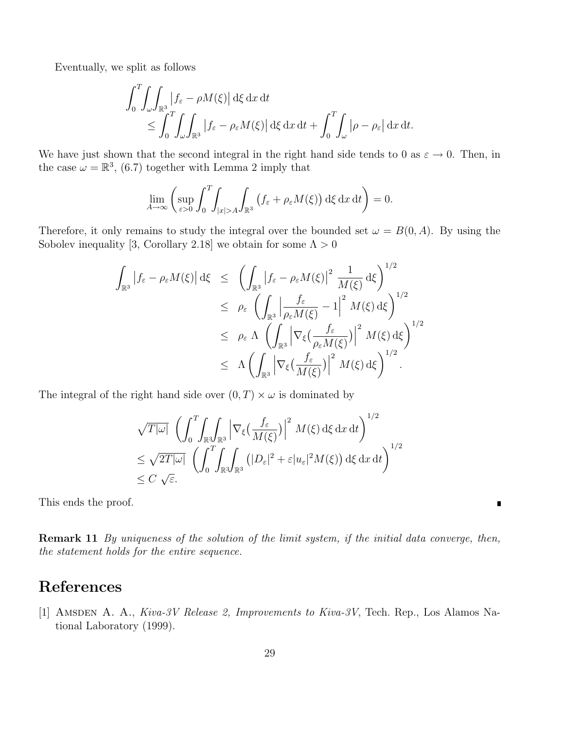Eventually, we split as follows

$$
\int_0^T \int_{\omega} \int_{\mathbb{R}^3} |f_{\varepsilon} - \rho M(\xi)| d\xi dx dt
$$
  
\n
$$
\leq \int_0^T \int_{\omega} \int_{\mathbb{R}^3} |f_{\varepsilon} - \rho_{\varepsilon} M(\xi)| d\xi dx dt + \int_0^T \int_{\omega} |\rho - \rho_{\varepsilon}| dx dt.
$$

We have just shown that the second integral in the right hand side tends to 0 as  $\varepsilon \to 0$ . Then, in the case  $\omega = \mathbb{R}^3$ , (6.7) together with Lemma 2 imply that

$$
\lim_{A \to \infty} \left( \sup_{\varepsilon > 0} \int_0^T \int_{|x| > A} \int_{\mathbb{R}^3} \left( f_{\varepsilon} + \rho_{\varepsilon} M(\xi) \right) d\xi \, dx \, dt \right) = 0.
$$

Therefore, it only remains to study the integral over the bounded set  $\omega = B(0, A)$ . By using the Sobolev inequality [3, Corollary 2.18] we obtain for some  $\Lambda > 0$ 

$$
\int_{\mathbb{R}^3} |f_{\varepsilon} - \rho_{\varepsilon} M(\xi)| d\xi \leq \left( \int_{\mathbb{R}^3} |f_{\varepsilon} - \rho_{\varepsilon} M(\xi)|^2 \frac{1}{M(\xi)} d\xi \right)^{1/2} \leq \rho_{\varepsilon} \left( \int_{\mathbb{R}^3} \left| \frac{f_{\varepsilon}}{\rho_{\varepsilon} M(\xi)} - 1 \right|^2 M(\xi) d\xi \right)^{1/2} \leq \rho_{\varepsilon} \Lambda \left( \int_{\mathbb{R}^3} \left| \nabla_{\xi} \left( \frac{f_{\varepsilon}}{\rho_{\varepsilon} M(\xi)} \right) \right|^2 M(\xi) d\xi \right)^{1/2} \leq \Lambda \left( \int_{\mathbb{R}^3} \left| \nabla_{\xi} \left( \frac{f_{\varepsilon}}{M(\xi)} \right) \right|^2 M(\xi) d\xi \right)^{1/2}.
$$

The integral of the right hand side over  $(0, T) \times \omega$  is dominated by

$$
\sqrt{T|\omega|} \left( \int_0^T \int_{\mathbb{R}^3} \int_{\mathbb{R}^3} \left| \nabla_{\xi} \left( \frac{f_{\varepsilon}}{M(\xi)} \right) \right|^2 M(\xi) d\xi dx dt \right)^{1/2}
$$
  
\n
$$
\leq \sqrt{2T|\omega|} \left( \int_0^T \int_{\mathbb{R}^3} \int_{\mathbb{R}^3} (|D_{\varepsilon}|^2 + \varepsilon |u_{\varepsilon}|^2 M(\xi)) d\xi dx dt \right)^{1/2}
$$
  
\n
$$
\leq C \sqrt{\varepsilon}.
$$

This ends the proof.

Remark 11 By uniqueness of the solution of the limit system, if the initial data converge, then, the statement holds for the entire sequence.

 $\blacksquare$ 

# References

[1] AMSDEN A. A., Kiva-3V Release 2, Improvements to Kiva-3V, Tech. Rep., Los Alamos National Laboratory (1999).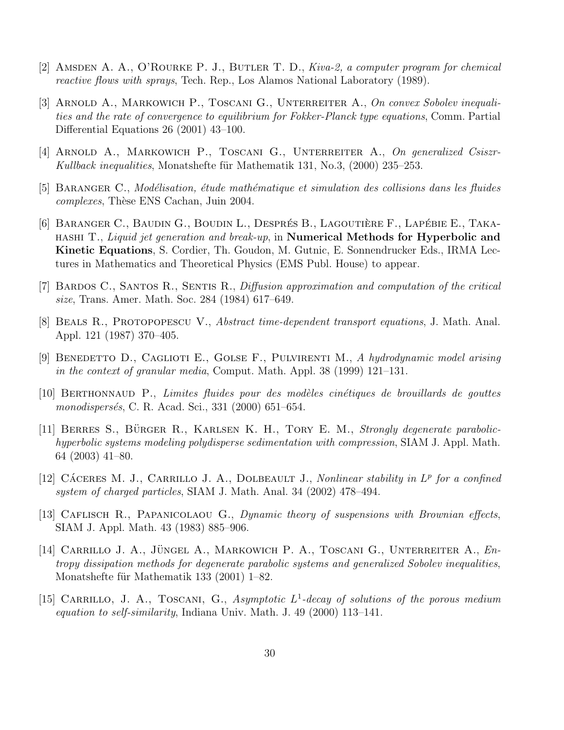- [2] AMSDEN A. A., O'ROURKE P. J., BUTLER T. D., Kiva-2, a computer program for chemical reactive flows with sprays, Tech. Rep., Los Alamos National Laboratory (1989).
- [3] ARNOLD A., MARKOWICH P., TOSCANI G., UNTERREITER A., On convex Sobolev inequalities and the rate of convergence to equilibrium for Fokker-Planck type equations, Comm. Partial Differential Equations 26 (2001) 43–100.
- [4] ARNOLD A., MARKOWICH P., TOSCANI G., UNTERREITER A., On generalized Csiszr-Kullback inequalities, Monatshefte für Mathematik 131, No.3,  $(2000)$  235–253.
- [5] BARANGER C., Modélisation, étude mathématique et simulation des collisions dans les fluides complexes, Thèse ENS Cachan, Juin 2004.
- [6] BARANGER C., BAUDIN G., BOUDIN L., DESPRÉS B., LAGOUTIÈRE F., LAPÉBIE E., TAKAhashi T., Liquid jet generation and break-up, in Numerical Methods for Hyperbolic and Kinetic Equations, S. Cordier, Th. Goudon, M. Gutnic, E. Sonnendrucker Eds., IRMA Lectures in Mathematics and Theoretical Physics (EMS Publ. House) to appear.
- [7] Bardos C., Santos R., Sentis R., Diffusion approximation and computation of the critical size, Trans. Amer. Math. Soc. 284 (1984) 617–649.
- [8] Beals R., Protopopescu V., Abstract time-dependent transport equations, J. Math. Anal. Appl. 121 (1987) 370–405.
- [9] BENEDETTO D., CAGLIOTI E., GOLSE F., PULVIRENTI M., A hydrodynamic model arising in the context of granular media, Comput. Math. Appl. 38 (1999) 121–131.
- $[10]$  BERTHONNAUD P., Limites fluides pour des modèles cinétiques de brouillards de gouttes monodispersés, C. R. Acad. Sci., 331 (2000) 651–654.
- $[11]$  BERRES S., BÜRGER R., KARLSEN K. H., TORY E. M., Strongly degenerate parabolichyperbolic systems modeling polydisperse sedimentation with compression, SIAM J. Appl. Math. 64 (2003) 41–80.
- [12] CÁCERES M. J., CARRILLO J. A., DOLBEAULT J., Nonlinear stability in  $L^p$  for a confined system of charged particles, SIAM J. Math. Anal. 34 (2002) 478–494.
- [13] CAFLISCH R., PAPANICOLAOU G., Dynamic theory of suspensions with Brownian effects, SIAM J. Appl. Math. 43 (1983) 885–906.
- [14] CARRILLO J. A., JÜNGEL A., MARKOWICH P. A., TOSCANI G., UNTERREITER A.,  $En$ tropy dissipation methods for degenerate parabolic systems and generalized Sobolev inequalities, Monatshefte für Mathematik 133  $(2001)$  1–82.
- [15] CARRILLO, J. A., TOSCANI, G., Asymptotic  $L^1$ -decay of solutions of the porous medium equation to self-similarity, Indiana Univ. Math. J. 49 (2000) 113–141.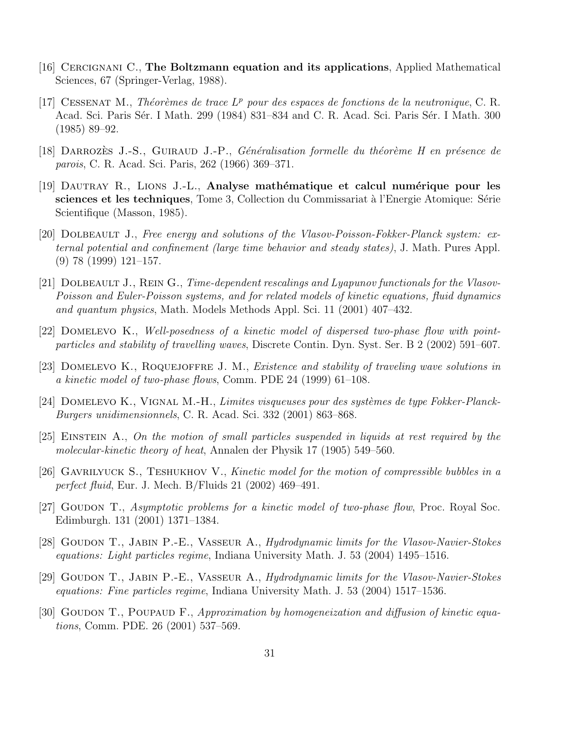- [16] Cercignani C., The Boltzmann equation and its applications, Applied Mathematical Sciences, 67 (Springer-Verlag, 1988).
- [17] CESSENAT M., Théorèmes de trace  $L^p$  pour des espaces de fonctions de la neutronique, C. R. Acad. Sci. Paris Sér. I Math. 299 (1984) 831–834 and C. R. Acad. Sci. Paris Sér. I Math. 300 (1985) 89–92.
- [18] DARROZES J.-S., GUIRAUD J.-P., *Généralisation formelle du théorème H en présence de* parois, C. R. Acad. Sci. Paris, 262 (1966) 369–371.
- $[19]$  DAUTRAY R., LIONS J.-L., Analyse mathématique et calcul numérique pour les sciences et les techniques, Tome 3, Collection du Commissariat à l'Energie Atomique: Série Scientifique (Masson, 1985).
- [20] DOLBEAULT J., Free energy and solutions of the Vlasov-Poisson-Fokker-Planck system: external potential and confinement (large time behavior and steady states), J. Math. Pures Appl. (9) 78 (1999) 121–157.
- [21] DOLBEAULT J., REIN G., Time-dependent rescalings and Lyapunov functionals for the Vlasov-Poisson and Euler-Poisson systems, and for related models of kinetic equations, fluid dynamics and quantum physics, Math. Models Methods Appl. Sci. 11 (2001) 407–432.
- [22] Domelevo K., Well-posedness of a kinetic model of dispersed two-phase flow with pointparticles and stability of travelling waves, Discrete Contin. Dyn. Syst. Ser. B 2 (2002) 591–607.
- [23] DOMELEVO K., ROQUEJOFFRE J. M., *Existence and stability of traveling wave solutions in* a kinetic model of two-phase flows, Comm. PDE 24 (1999) 61–108.
- [24] DOMELEVO K., VIGNAL M.-H., Limites visqueuses pour des systèmes de type Fokker-Planck-Burgers unidimensionnels, C. R. Acad. Sci. 332 (2001) 863–868.
- [25] Einstein A., On the motion of small particles suspended in liquids at rest required by the molecular-kinetic theory of heat, Annalen der Physik 17 (1905) 549–560.
- [26] Gavrilyuck S., Teshukhov V., Kinetic model for the motion of compressible bubbles in a perfect fluid, Eur. J. Mech. B/Fluids 21 (2002) 469–491.
- [27] Goudon T., Asymptotic problems for a kinetic model of two-phase flow, Proc. Royal Soc. Edimburgh. 131 (2001) 1371–1384.
- [28] GOUDON T., JABIN P.-E., VASSEUR A., *Hydrodynamic limits for the Vlasov-Navier-Stokes* equations: Light particles regime, Indiana University Math. J. 53 (2004) 1495–1516.
- [29] GOUDON T., JABIN P.-E., VASSEUR A., Hydrodynamic limits for the Vlasov-Navier-Stokes equations: Fine particles regime, Indiana University Math. J. 53 (2004) 1517–1536.
- [30] GOUDON T., POUPAUD F., Approximation by homogeneization and diffusion of kinetic equations, Comm. PDE. 26 (2001) 537–569.